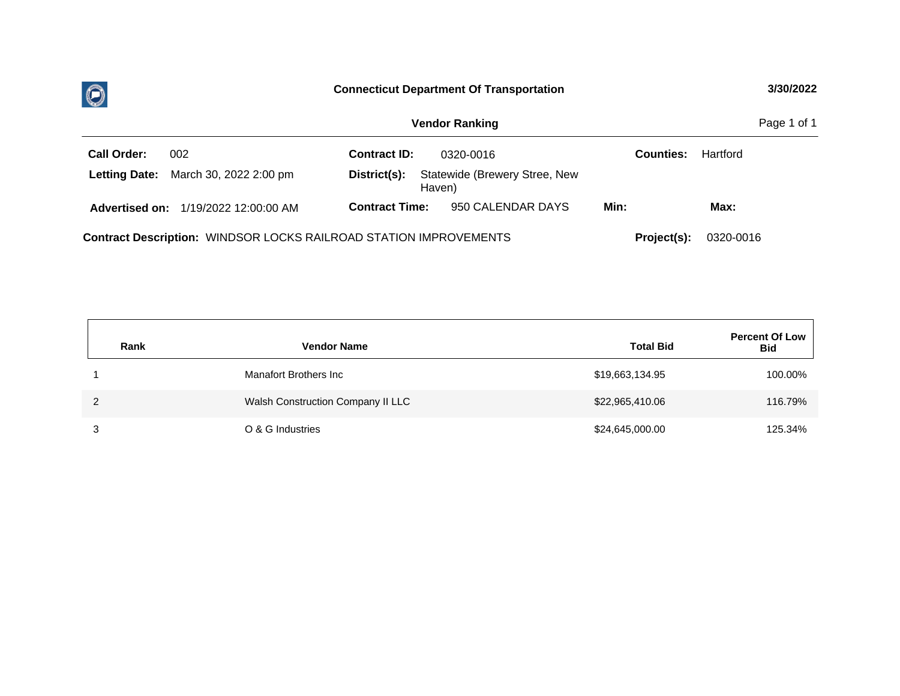

| Page 1 of 1<br><b>Vendor Ranking</b>                                                                 |                                                         |                  |          |  |  |  |  |  |  |
|------------------------------------------------------------------------------------------------------|---------------------------------------------------------|------------------|----------|--|--|--|--|--|--|
| <b>Call Order:</b><br>002                                                                            | <b>Contract ID:</b><br>0320-0016                        | <b>Counties:</b> | Hartford |  |  |  |  |  |  |
| Letting Date: March 30, 2022 2:00 pm                                                                 | Statewide (Brewery Stree, New<br>District(s):<br>Haven) |                  |          |  |  |  |  |  |  |
| 1/19/2022 12:00:00 AM<br><b>Advertised on:</b>                                                       | 950 CALENDAR DAYS<br><b>Contract Time:</b>              | Min:             | Max:     |  |  |  |  |  |  |
| <b>Contract Description: WINDSOR LOCKS RAILROAD STATION IMPROVEMENTS</b><br>0320-0016<br>Project(s): |                                                         |                  |          |  |  |  |  |  |  |

| Rank          | <b>Vendor Name</b>                | <b>Total Bid</b> | <b>Percent Of Low</b><br><b>Bid</b> |
|---------------|-----------------------------------|------------------|-------------------------------------|
|               | Manafort Brothers Inc             | \$19,663,134.95  | 100.00%                             |
| $\mathcal{P}$ | Walsh Construction Company II LLC | \$22,965,410.06  | 116.79%                             |
| 3             | O & G Industries                  | \$24,645,000.00  | 125.34%                             |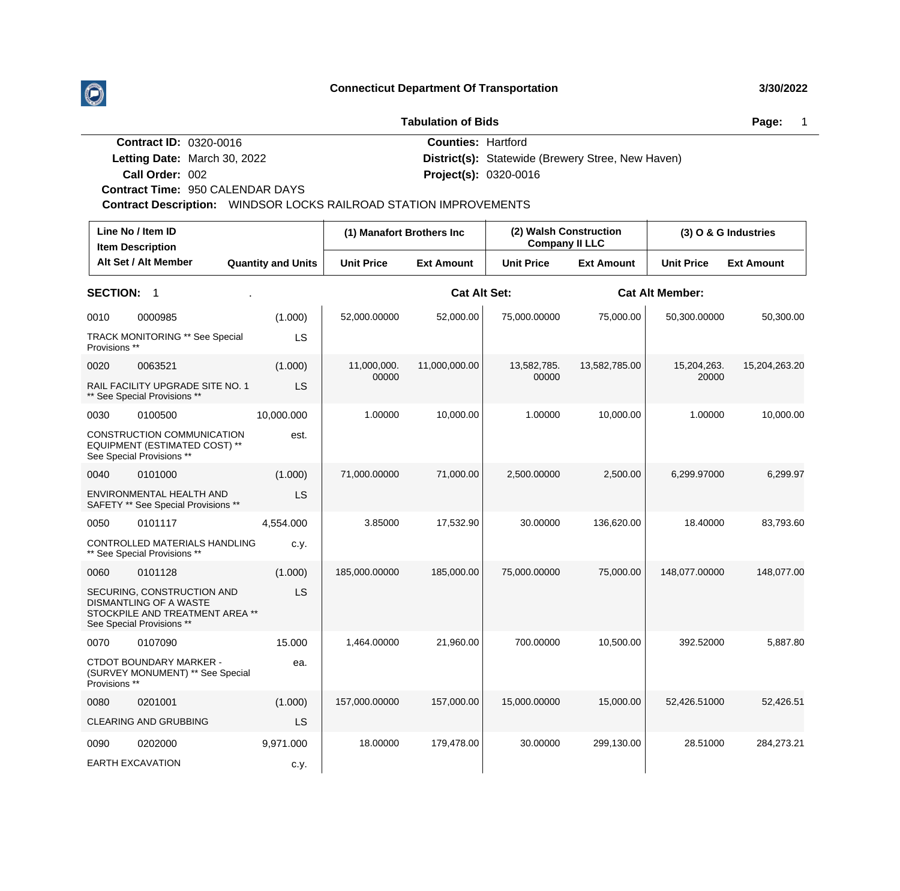**Tabulation of Bids Page:** 1999 **Page:** 1999 **Page:** 1999 **Page:** 1999 **Page:** 1999

| Page: |  |
|-------|--|
|-------|--|

| <b>Contract ID: 0320-0016</b> |                                                                          | <b>Counties: Hartford</b> |                                                          |  |  |  |  |  |
|-------------------------------|--------------------------------------------------------------------------|---------------------------|----------------------------------------------------------|--|--|--|--|--|
|                               | Letting Date: March 30, 2022                                             |                           | <b>District(s):</b> Statewide (Brewery Stree, New Haven) |  |  |  |  |  |
| Call Order: 002               |                                                                          |                           | <b>Project(s): 0320-0016</b>                             |  |  |  |  |  |
|                               | <b>Contract Time: 950 CALENDAR DAYS</b>                                  |                           |                                                          |  |  |  |  |  |
|                               | <b>Contract Description:</b> WINDSOR LOCKS RAILROAD STATION IMPROVEMENTS |                           |                                                          |  |  |  |  |  |
|                               |                                                                          |                           |                                                          |  |  |  |  |  |

|                 | Line No / Item ID<br><b>Item Description</b>                                                                                |                           |                   | (1) Manafort Brothers Inc |                   | (2) Walsh Construction<br><b>Company II LLC</b> |                        | (3) O & G Industries |  |
|-----------------|-----------------------------------------------------------------------------------------------------------------------------|---------------------------|-------------------|---------------------------|-------------------|-------------------------------------------------|------------------------|----------------------|--|
|                 | Alt Set / Alt Member                                                                                                        | <b>Quantity and Units</b> | <b>Unit Price</b> | <b>Ext Amount</b>         | <b>Unit Price</b> | <b>Ext Amount</b>                               | <b>Unit Price</b>      | <b>Ext Amount</b>    |  |
| <b>SECTION:</b> | $\overline{\mathbf{1}}$                                                                                                     |                           |                   | <b>Cat Alt Set:</b>       |                   |                                                 | <b>Cat Alt Member:</b> |                      |  |
| 0010            | 0000985                                                                                                                     | (1.000)                   | 52,000.00000      | 52,000.00                 | 75,000.00000      | 75,000.00                                       | 50,300.00000           | 50,300.00            |  |
| Provisions **   | <b>TRACK MONITORING ** See Special</b>                                                                                      | LS                        |                   |                           |                   |                                                 |                        |                      |  |
| 0020            | 0063521                                                                                                                     | (1.000)                   | 11,000,000.       | 11,000,000.00             | 13,582,785.       | 13,582,785.00                                   | 15,204,263.            | 15,204,263.20        |  |
|                 | RAIL FACILITY UPGRADE SITE NO. 1<br>** See Special Provisions **                                                            | <b>LS</b>                 | 00000             |                           | 00000             |                                                 | 20000                  |                      |  |
| 0030            | 0100500                                                                                                                     | 10,000.000                | 1.00000           | 10,000.00                 | 1.00000           | 10,000.00                                       | 1.00000                | 10,000.00            |  |
|                 | CONSTRUCTION COMMUNICATION<br>EQUIPMENT (ESTIMATED COST) **<br>See Special Provisions **                                    | est.                      |                   |                           |                   |                                                 |                        |                      |  |
| 0040            | 0101000                                                                                                                     | (1.000)                   | 71,000.00000      | 71,000.00                 | 2,500.00000       | 2,500.00                                        | 6,299.97000            | 6,299.97             |  |
|                 | ENVIRONMENTAL HEALTH AND<br>SAFETY ** See Special Provisions **                                                             | <b>LS</b>                 |                   |                           |                   |                                                 |                        |                      |  |
| 0050            | 0101117                                                                                                                     | 4,554.000                 | 3.85000           | 17,532.90                 | 30.00000          | 136,620.00                                      | 18.40000               | 83,793.60            |  |
|                 | CONTROLLED MATERIALS HANDLING<br>** See Special Provisions **                                                               | c.y.                      |                   |                           |                   |                                                 |                        |                      |  |
| 0060            | 0101128                                                                                                                     | (1.000)                   | 185,000.00000     | 185,000.00                | 75,000.00000      | 75,000.00                                       | 148,077.00000          | 148,077.00           |  |
|                 | SECURING, CONSTRUCTION AND<br><b>DISMANTLING OF A WASTE</b><br>STOCKPILE AND TREATMENT AREA **<br>See Special Provisions ** | <b>LS</b>                 |                   |                           |                   |                                                 |                        |                      |  |
| 0070            | 0107090                                                                                                                     | 15.000                    | 1,464.00000       | 21,960.00                 | 700.00000         | 10,500.00                                       | 392.52000              | 5,887.80             |  |
| Provisions **   | CTDOT BOUNDARY MARKER -<br>(SURVEY MONUMENT) ** See Special                                                                 | ea.                       |                   |                           |                   |                                                 |                        |                      |  |
| 0080            | 0201001                                                                                                                     | (1.000)                   | 157,000.00000     | 157,000.00                | 15,000.00000      | 15,000.00                                       | 52,426.51000           | 52,426.51            |  |
|                 | CLEARING AND GRUBBING                                                                                                       | LS                        |                   |                           |                   |                                                 |                        |                      |  |
| 0090            | 0202000                                                                                                                     | 9,971.000                 | 18.00000          | 179,478.00                | 30.00000          | 299,130.00                                      | 28.51000               | 284,273.21           |  |
|                 | <b>EARTH EXCAVATION</b>                                                                                                     | c.y.                      |                   |                           |                   |                                                 |                        |                      |  |

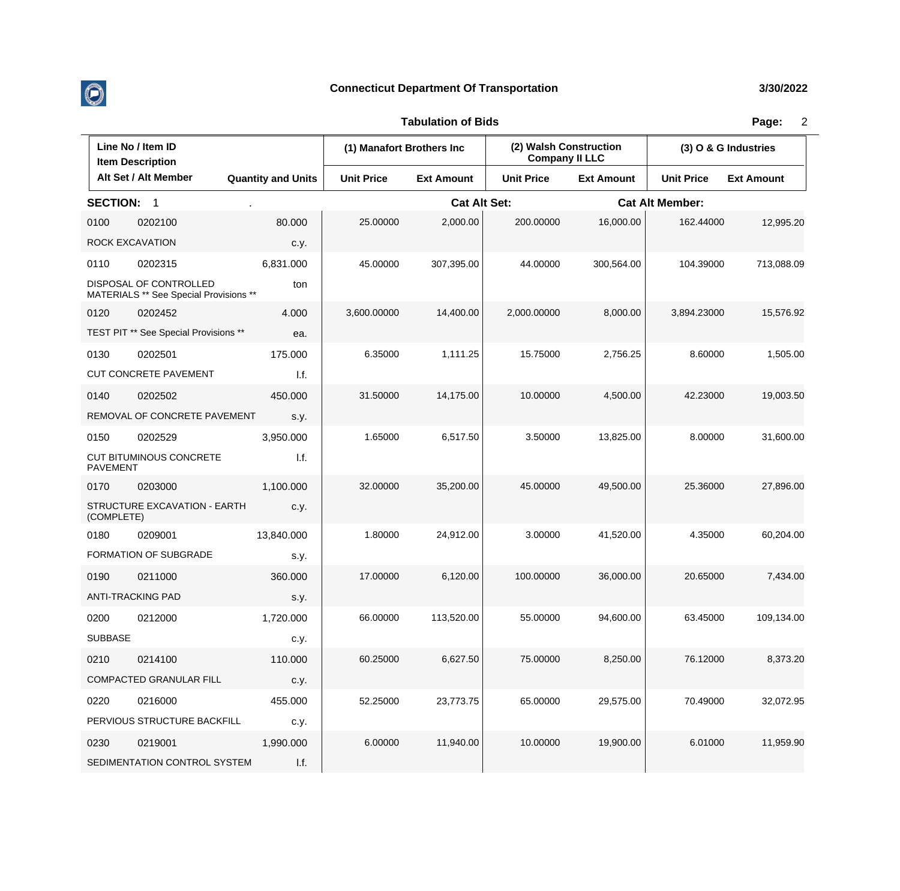

 $\overline{\phantom{a}}$ 

## **Connecticut Department Of Transportation 3/30/2022**

## **Tabulation of Bids Page:** 2

 $\overline{1}$ 

| Line No / Item ID<br><b>Item Description</b> |                                                                  |                           | (1) Manafort Brothers Inc |                     | (2) Walsh Construction<br><b>Company II LLC</b> |                        | (3) O & G Industries |                   |
|----------------------------------------------|------------------------------------------------------------------|---------------------------|---------------------------|---------------------|-------------------------------------------------|------------------------|----------------------|-------------------|
|                                              | Alt Set / Alt Member                                             | <b>Quantity and Units</b> | <b>Unit Price</b>         | <b>Ext Amount</b>   | <b>Unit Price</b>                               | <b>Ext Amount</b>      | <b>Unit Price</b>    | <b>Ext Amount</b> |
| <b>SECTION:</b>                              | $\overline{\phantom{0}}$ 1                                       |                           |                           | <b>Cat Alt Set:</b> |                                                 | <b>Cat Alt Member:</b> |                      |                   |
| 0100                                         | 0202100                                                          | 80.000                    | 25.00000                  | 2,000.00            | 200.00000                                       | 16,000.00              | 162.44000            | 12,995.20         |
|                                              | ROCK EXCAVATION                                                  | c.y.                      |                           |                     |                                                 |                        |                      |                   |
| 0110                                         | 0202315                                                          | 6,831.000                 | 45.00000                  | 307,395.00          | 44.00000                                        | 300,564.00             | 104.39000            | 713,088.09        |
|                                              | DISPOSAL OF CONTROLLED<br>MATERIALS ** See Special Provisions ** | ton                       |                           |                     |                                                 |                        |                      |                   |
| 0120                                         | 0202452                                                          | 4.000                     | 3,600.00000               | 14,400.00           | 2,000.00000                                     | 8,000.00               | 3,894.23000          | 15,576.92         |
|                                              | TEST PIT ** See Special Provisions **                            | ea.                       |                           |                     |                                                 |                        |                      |                   |
| 0130                                         | 0202501                                                          | 175.000                   | 6.35000                   | 1,111.25            | 15.75000                                        | 2,756.25               | 8.60000              | 1,505.00          |
|                                              | <b>CUT CONCRETE PAVEMENT</b>                                     | 1.f.                      |                           |                     |                                                 |                        |                      |                   |
| 0140                                         | 0202502                                                          | 450.000                   | 31.50000                  | 14,175.00           | 10.00000                                        | 4,500.00               | 42.23000             | 19,003.50         |
|                                              | REMOVAL OF CONCRETE PAVEMENT                                     | s.y.                      |                           |                     |                                                 |                        |                      |                   |
| 0150                                         | 0202529                                                          | 3,950.000                 | 1.65000                   | 6,517.50            | 3.50000                                         | 13,825.00              | 8.00000              | 31,600.00         |
| <b>PAVEMENT</b>                              | CUT BITUMINOUS CONCRETE                                          | 1.f.                      |                           |                     |                                                 |                        |                      |                   |
| 0170                                         | 0203000                                                          | 1,100.000                 | 32.00000                  | 35,200.00           | 45.00000                                        | 49,500.00              | 25.36000             | 27,896.00         |
| (COMPLETE)                                   | STRUCTURE EXCAVATION - EARTH                                     | c.y.                      |                           |                     |                                                 |                        |                      |                   |
| 0180                                         | 0209001                                                          | 13,840.000                | 1.80000                   | 24,912.00           | 3.00000                                         | 41,520.00              | 4.35000              | 60,204.00         |
|                                              | FORMATION OF SUBGRADE                                            | s.y.                      |                           |                     |                                                 |                        |                      |                   |
| 0190                                         | 0211000                                                          | 360.000                   | 17.00000                  | 6,120.00            | 100.00000                                       | 36,000.00              | 20.65000             | 7,434.00          |
|                                              | <b>ANTI-TRACKING PAD</b>                                         | s.y.                      |                           |                     |                                                 |                        |                      |                   |
| 0200                                         | 0212000                                                          | 1,720.000                 | 66.00000                  | 113,520.00          | 55.00000                                        | 94,600.00              | 63.45000             | 109,134.00        |
| <b>SUBBASE</b>                               |                                                                  | c.y.                      |                           |                     |                                                 |                        |                      |                   |
| 0210                                         | 0214100                                                          | 110.000                   | 60.25000                  | 6,627.50            | 75.00000                                        | 8,250.00               | 76.12000             | 8,373.20          |
|                                              | COMPACTED GRANULAR FILL                                          | c.y.                      |                           |                     |                                                 |                        |                      |                   |
| 0220                                         | 0216000                                                          | 455.000                   | 52.25000                  | 23,773.75           | 65.00000                                        | 29,575.00              | 70.49000             | 32,072.95         |
|                                              | PERVIOUS STRUCTURE BACKFILL                                      | c.y.                      |                           |                     |                                                 |                        |                      |                   |
| 0230                                         | 0219001                                                          | 1,990.000                 | 6.00000                   | 11,940.00           | 10.00000                                        | 19,900.00              | 6.01000              | 11,959.90         |
|                                              | SEDIMENTATION CONTROL SYSTEM                                     | I.f.                      |                           |                     |                                                 |                        |                      |                   |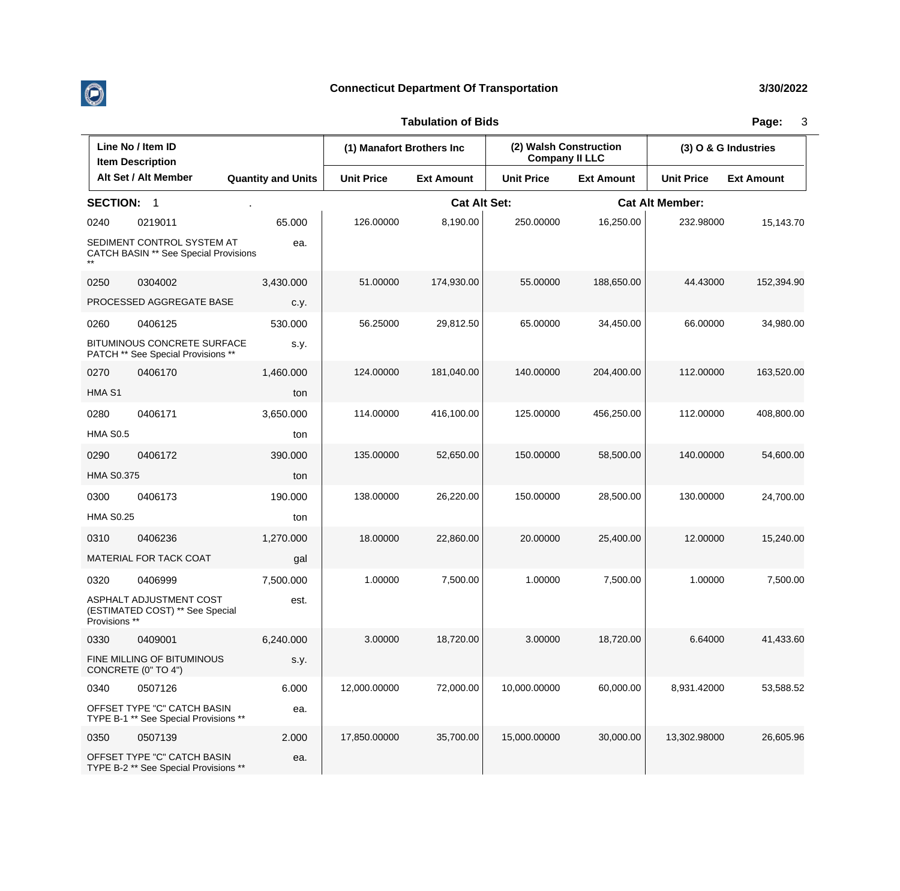

|                   | Line No / Item ID<br><b>Item Description</b>                               |                           | (1) Manafort Brothers Inc |                     | (2) Walsh Construction<br><b>Company II LLC</b> |                   | (3) O & G Industries   |                   |
|-------------------|----------------------------------------------------------------------------|---------------------------|---------------------------|---------------------|-------------------------------------------------|-------------------|------------------------|-------------------|
|                   | Alt Set / Alt Member                                                       | <b>Quantity and Units</b> | <b>Unit Price</b>         | <b>Ext Amount</b>   | <b>Unit Price</b>                               | <b>Ext Amount</b> | <b>Unit Price</b>      | <b>Ext Amount</b> |
| <b>SECTION:</b>   | $\overline{\mathbf{1}}$                                                    |                           |                           | <b>Cat Alt Set:</b> |                                                 |                   | <b>Cat Alt Member:</b> |                   |
| 0240              | 0219011                                                                    | 65.000                    | 126.00000                 | 8,190.00            | 250.00000                                       | 16,250.00         | 232.98000              | 15,143.70         |
|                   | SEDIMENT CONTROL SYSTEM AT<br><b>CATCH BASIN ** See Special Provisions</b> | ea.                       |                           |                     |                                                 |                   |                        |                   |
| 0250              | 0304002                                                                    | 3,430.000                 | 51.00000                  | 174,930.00          | 55.00000                                        | 188,650.00        | 44.43000               | 152,394.90        |
|                   | PROCESSED AGGREGATE BASE                                                   | c.y.                      |                           |                     |                                                 |                   |                        |                   |
| 0260              | 0406125                                                                    | 530.000                   | 56.25000                  | 29,812.50           | 65.00000                                        | 34,450.00         | 66.00000               | 34,980.00         |
|                   | <b>BITUMINOUS CONCRETE SURFACE</b><br>PATCH ** See Special Provisions **   | s.y.                      |                           |                     |                                                 |                   |                        |                   |
| 0270              | 0406170                                                                    | 1,460.000                 | 124.00000                 | 181,040.00          | 140.00000                                       | 204,400.00        | 112.00000              | 163,520.00        |
| HMA <sub>S1</sub> |                                                                            | ton                       |                           |                     |                                                 |                   |                        |                   |
| 0280              | 0406171                                                                    | 3,650.000                 | 114.00000                 | 416,100.00          | 125.00000                                       | 456,250.00        | 112.00000              | 408,800.00        |
| <b>HMA S0.5</b>   |                                                                            | ton                       |                           |                     |                                                 |                   |                        |                   |
| 0290              | 0406172                                                                    | 390.000                   | 135.00000                 | 52,650.00           | 150.00000                                       | 58,500.00         | 140.00000              | 54,600.00         |
| <b>HMA S0.375</b> |                                                                            | ton                       |                           |                     |                                                 |                   |                        |                   |
| 0300              | 0406173                                                                    | 190.000                   | 138.00000                 | 26,220.00           | 150.00000                                       | 28,500.00         | 130.00000              | 24,700.00         |
| <b>HMA S0.25</b>  |                                                                            | ton                       |                           |                     |                                                 |                   |                        |                   |
| 0310              | 0406236                                                                    | 1,270.000                 | 18.00000                  | 22,860.00           | 20.00000                                        | 25,400.00         | 12.00000               | 15,240.00         |
|                   | MATERIAL FOR TACK COAT                                                     | gal                       |                           |                     |                                                 |                   |                        |                   |
| 0320              | 0406999                                                                    | 7,500.000                 | 1.00000                   | 7,500.00            | 1.00000                                         | 7,500.00          | 1.00000                | 7,500.00          |
| Provisions **     | ASPHALT ADJUSTMENT COST<br>(ESTIMATED COST) ** See Special                 | est.                      |                           |                     |                                                 |                   |                        |                   |
| 0330              | 0409001                                                                    | 6.240.000                 | 3.00000                   | 18,720.00           | 3.00000                                         | 18,720.00         | 6.64000                | 41,433.60         |
|                   | FINE MILLING OF BITUMINOUS<br>CONCRETE (0" TO 4")                          | s.y.                      |                           |                     |                                                 |                   |                        |                   |
| 0340              | 0507126                                                                    | 6.000                     | 12,000.00000              | 72,000.00           | 10,000.00000                                    | 60,000.00         | 8,931.42000            | 53,588.52         |
|                   | OFFSET TYPE "C" CATCH BASIN<br>TYPE B-1 ** See Special Provisions **       | ea.                       |                           |                     |                                                 |                   |                        |                   |
| 0350              | 0507139                                                                    | 2.000                     | 17,850.00000              | 35,700.00           | 15,000.00000                                    | 30,000.00         | 13,302.98000           | 26,605.96         |
|                   | OFFSET TYPE "C" CATCH BASIN<br>TYPE B-2 ** See Special Provisions **       | ea.                       |                           |                     |                                                 |                   |                        |                   |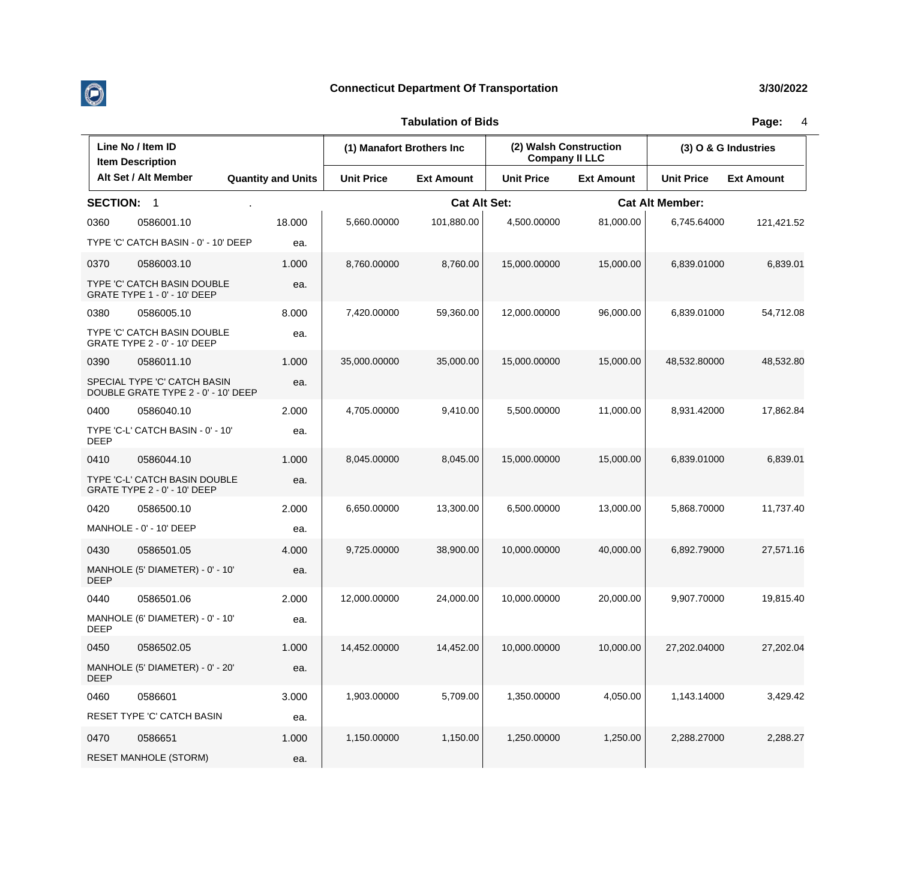

|                 | Line No / Item ID<br><b>Item Description</b>                        |                           |                   | (1) Manafort Brothers Inc |                   | (2) Walsh Construction<br><b>Company II LLC</b> |                        | (3) O & G Industries |  |
|-----------------|---------------------------------------------------------------------|---------------------------|-------------------|---------------------------|-------------------|-------------------------------------------------|------------------------|----------------------|--|
|                 | Alt Set / Alt Member                                                | <b>Quantity and Units</b> | <b>Unit Price</b> | <b>Ext Amount</b>         | <b>Unit Price</b> | <b>Ext Amount</b>                               | <b>Unit Price</b>      | <b>Ext Amount</b>    |  |
| <b>SECTION:</b> | -1                                                                  |                           |                   | <b>Cat Alt Set:</b>       |                   |                                                 | <b>Cat Alt Member:</b> |                      |  |
| 0360            | 0586001.10                                                          | 18.000                    | 5,660.00000       | 101,880.00                | 4,500.00000       | 81,000.00                                       | 6,745.64000            | 121,421.52           |  |
|                 | TYPE 'C' CATCH BASIN - 0' - 10' DEEP                                | ea.                       |                   |                           |                   |                                                 |                        |                      |  |
| 0370            | 0586003.10                                                          | 1.000                     | 8,760.00000       | 8,760.00                  | 15,000.00000      | 15,000.00                                       | 6,839.01000            | 6,839.01             |  |
|                 | TYPE 'C' CATCH BASIN DOUBLE<br>GRATE TYPE 1 - 0' - 10' DEEP         | ea.                       |                   |                           |                   |                                                 |                        |                      |  |
| 0380            | 0586005.10                                                          | 8.000                     | 7,420.00000       | 59,360.00                 | 12,000.00000      | 96,000.00                                       | 6,839.01000            | 54,712.08            |  |
|                 | TYPE 'C' CATCH BASIN DOUBLE<br>GRATE TYPE 2 - 0' - 10' DEEP         | ea.                       |                   |                           |                   |                                                 |                        |                      |  |
| 0390            | 0586011.10                                                          | 1.000                     | 35,000.00000      | 35,000.00                 | 15,000.00000      | 15,000.00                                       | 48,532.80000           | 48,532.80            |  |
|                 | SPECIAL TYPE 'C' CATCH BASIN<br>DOUBLE GRATE TYPE 2 - 0' - 10' DEEP | ea.                       |                   |                           |                   |                                                 |                        |                      |  |
| 0400            | 0586040.10                                                          | 2.000                     | 4,705.00000       | 9,410.00                  | 5,500.00000       | 11,000.00                                       | 8,931.42000            | 17,862.84            |  |
| <b>DEEP</b>     | TYPE 'C-L' CATCH BASIN - 0' - 10'                                   | ea.                       |                   |                           |                   |                                                 |                        |                      |  |
| 0410            | 0586044.10                                                          | 1.000                     | 8,045.00000       | 8,045.00                  | 15,000.00000      | 15,000.00                                       | 6.839.01000            | 6,839.01             |  |
|                 | TYPE 'C-L' CATCH BASIN DOUBLE<br>GRATE TYPE 2 - 0' - 10' DEEP       | ea.                       |                   |                           |                   |                                                 |                        |                      |  |
| 0420            | 0586500.10                                                          | 2.000                     | 6,650.00000       | 13,300.00                 | 6,500.00000       | 13,000.00                                       | 5,868.70000            | 11,737.40            |  |
|                 | MANHOLE - 0' - 10' DEEP                                             | ea.                       |                   |                           |                   |                                                 |                        |                      |  |
| 0430            | 0586501.05                                                          | 4.000                     | 9,725.00000       | 38,900.00                 | 10,000.00000      | 40,000.00                                       | 6.892.79000            | 27,571.16            |  |
| <b>DEEP</b>     | MANHOLE (5' DIAMETER) - 0' - 10'                                    | ea.                       |                   |                           |                   |                                                 |                        |                      |  |
| 0440            | 0586501.06                                                          | 2.000                     | 12,000.00000      | 24,000.00                 | 10,000.00000      | 20,000.00                                       | 9,907.70000            | 19,815.40            |  |
| <b>DEEP</b>     | MANHOLE (6' DIAMETER) - 0' - 10'                                    | ea.                       |                   |                           |                   |                                                 |                        |                      |  |
| 0450            | 0586502.05                                                          | 1.000                     | 14,452.00000      | 14,452.00                 | 10,000.00000      | 10,000.00                                       | 27,202.04000           | 27,202.04            |  |
| <b>DEEP</b>     | MANHOLE (5' DIAMETER) - 0' - 20'                                    | ea.                       |                   |                           |                   |                                                 |                        |                      |  |
| 0460            | 0586601                                                             | 3.000                     | 1,903.00000       | 5,709.00                  | 1,350.00000       | 4,050.00                                        | 1,143.14000            | 3,429.42             |  |
|                 | RESET TYPE 'C' CATCH BASIN                                          | ea.                       |                   |                           |                   |                                                 |                        |                      |  |
| 0470            | 0586651                                                             | 1.000                     | 1,150.00000       | 1,150.00                  | 1,250.00000       | 1,250.00                                        | 2,288.27000            | 2,288.27             |  |
|                 | <b>RESET MANHOLE (STORM)</b>                                        | ea.                       |                   |                           |                   |                                                 |                        |                      |  |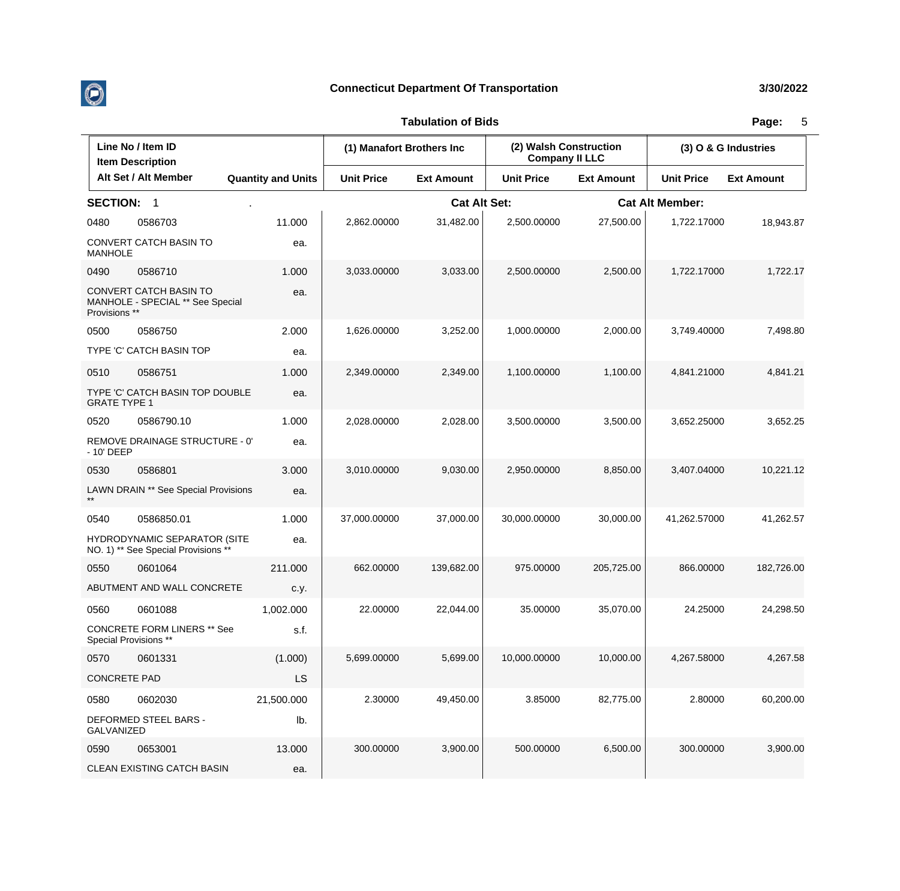

|                     | Line No / Item ID<br><b>Item Description</b>                        |                           | (1) Manafort Brothers Inc |                     | (2) Walsh Construction<br><b>Company II LLC</b> |                   | (3) O & G Industries   |                   |
|---------------------|---------------------------------------------------------------------|---------------------------|---------------------------|---------------------|-------------------------------------------------|-------------------|------------------------|-------------------|
|                     | Alt Set / Alt Member                                                | <b>Quantity and Units</b> | <b>Unit Price</b>         | <b>Ext Amount</b>   | <b>Unit Price</b>                               | <b>Ext Amount</b> | <b>Unit Price</b>      | <b>Ext Amount</b> |
| <b>SECTION:</b>     | - 1                                                                 |                           |                           | <b>Cat Alt Set:</b> |                                                 |                   | <b>Cat Alt Member:</b> |                   |
| 0480                | 0586703                                                             | 11.000                    | 2,862.00000               | 31,482.00           | 2,500.00000                                     | 27,500.00         | 1,722.17000            | 18,943.87         |
| <b>MANHOLE</b>      | CONVERT CATCH BASIN TO                                              | ea.                       |                           |                     |                                                 |                   |                        |                   |
| 0490                | 0586710                                                             | 1.000                     | 3,033.00000               | 3,033.00            | 2,500.00000                                     | 2,500.00          | 1,722.17000            | 1,722.17          |
| Provisions **       | CONVERT CATCH BASIN TO<br>MANHOLE - SPECIAL ** See Special          | ea.                       |                           |                     |                                                 |                   |                        |                   |
| 0500                | 0586750                                                             | 2.000                     | 1,626.00000               | 3,252.00            | 1,000.00000                                     | 2,000.00          | 3,749.40000            | 7,498.80          |
|                     | TYPE 'C' CATCH BASIN TOP                                            | ea.                       |                           |                     |                                                 |                   |                        |                   |
| 0510                | 0586751                                                             | 1.000                     | 2,349.00000               | 2,349.00            | 1,100.00000                                     | 1,100.00          | 4,841.21000            | 4,841.21          |
| <b>GRATE TYPE 1</b> | TYPE 'C' CATCH BASIN TOP DOUBLE                                     | ea.                       |                           |                     |                                                 |                   |                        |                   |
| 0520                | 0586790.10                                                          | 1.000                     | 2,028.00000               | 2,028.00            | 3,500.00000                                     | 3,500.00          | 3,652.25000            | 3,652.25          |
| - 10' DEEP          | REMOVE DRAINAGE STRUCTURE - 0'                                      | ea.                       |                           |                     |                                                 |                   |                        |                   |
| 0530                | 0586801                                                             | 3.000                     | 3,010.00000               | 9,030.00            | 2,950.00000                                     | 8,850.00          | 3,407.04000            | 10,221.12         |
|                     | LAWN DRAIN ** See Special Provisions                                | ea.                       |                           |                     |                                                 |                   |                        |                   |
| 0540                | 0586850.01                                                          | 1.000                     | 37,000.00000              | 37,000.00           | 30,000.00000                                    | 30,000.00         | 41,262.57000           | 41,262.57         |
|                     | HYDRODYNAMIC SEPARATOR (SITE<br>NO. 1) ** See Special Provisions ** | ea.                       |                           |                     |                                                 |                   |                        |                   |
| 0550                | 0601064                                                             | 211.000                   | 662.00000                 | 139,682.00          | 975.00000                                       | 205,725.00        | 866.00000              | 182,726.00        |
|                     | ABUTMENT AND WALL CONCRETE                                          | c.y.                      |                           |                     |                                                 |                   |                        |                   |
| 0560                | 0601088                                                             | 1,002.000                 | 22.00000                  | 22,044.00           | 35.00000                                        | 35,070.00         | 24.25000               | 24,298.50         |
|                     | <b>CONCRETE FORM LINERS ** See</b><br>Special Provisions **         | s.f.                      |                           |                     |                                                 |                   |                        |                   |
| 0570                | 0601331                                                             | (1.000)                   | 5,699.00000               | 5,699.00            | 10,000.00000                                    | 10,000.00         | 4,267.58000            | 4,267.58          |
| <b>CONCRETE PAD</b> |                                                                     | LS                        |                           |                     |                                                 |                   |                        |                   |
| 0580                | 0602030                                                             | 21,500.000                | 2.30000                   | 49,450.00           | 3.85000                                         | 82,775.00         | 2.80000                | 60,200.00         |
| GALVANIZED          | DEFORMED STEEL BARS -                                               | lb.                       |                           |                     |                                                 |                   |                        |                   |
| 0590                | 0653001                                                             | 13.000                    | 300.00000                 | 3,900.00            | 500.00000                                       | 6,500.00          | 300.00000              | 3,900.00          |
|                     | CLEAN EXISTING CATCH BASIN                                          | ea.                       |                           |                     |                                                 |                   |                        |                   |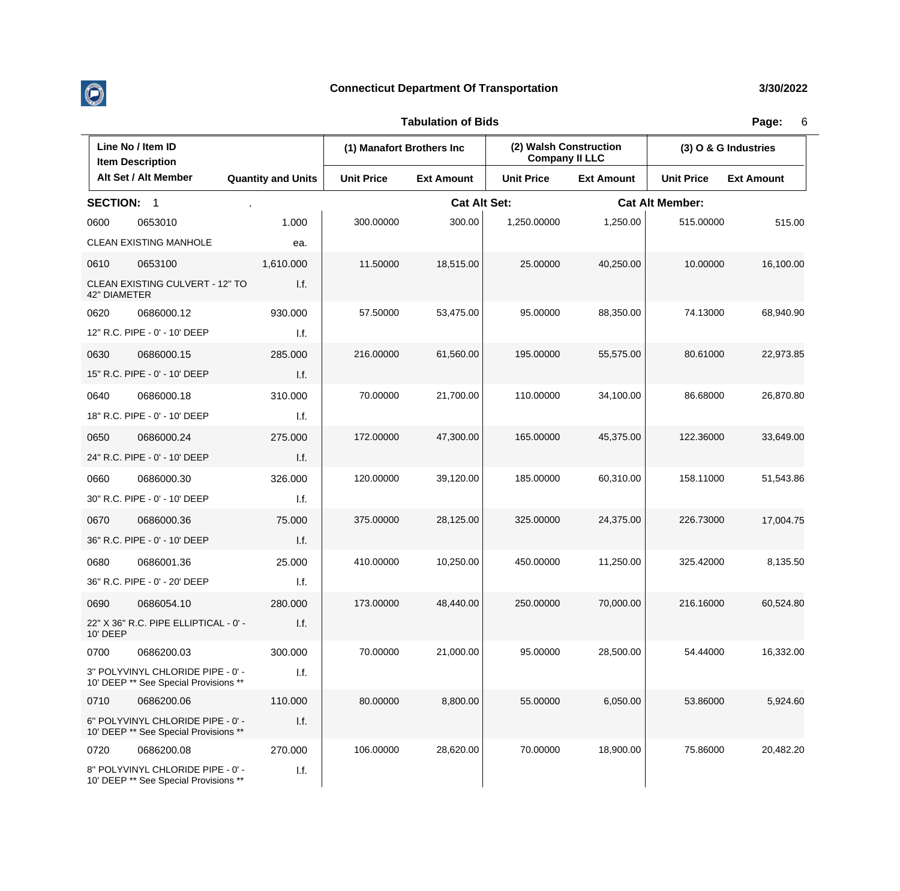

**Tabulation of Bids Page:** 6

|                   | Line No / Item ID<br><b>Item Description</b>                               |                           | (1) Manafort Brothers Inc. |                     | (2) Walsh Construction<br><b>Company II LLC</b> |                   | (3) O & G Industries   |                   |  |
|-------------------|----------------------------------------------------------------------------|---------------------------|----------------------------|---------------------|-------------------------------------------------|-------------------|------------------------|-------------------|--|
|                   | Alt Set / Alt Member                                                       | <b>Quantity and Units</b> | <b>Unit Price</b>          | <b>Ext Amount</b>   | <b>Unit Price</b>                               | <b>Ext Amount</b> | <b>Unit Price</b>      | <b>Ext Amount</b> |  |
| <b>SECTION: 1</b> |                                                                            |                           |                            | <b>Cat Alt Set:</b> |                                                 |                   | <b>Cat Alt Member:</b> |                   |  |
| 0600              | 0653010                                                                    | 1.000                     | 300.00000                  | 300.00              | 1,250.00000                                     | 1,250.00          | 515.00000              | 515.00            |  |
|                   | <b>CLEAN EXISTING MANHOLE</b>                                              | ea.                       |                            |                     |                                                 |                   |                        |                   |  |
| 0610              | 0653100                                                                    | 1,610.000                 | 11.50000                   | 18,515.00           | 25.00000                                        | 40,250.00         | 10.00000               | 16,100.00         |  |
| 42" DIAMETER      | CLEAN EXISTING CULVERT - 12" TO                                            | 1.f.                      |                            |                     |                                                 |                   |                        |                   |  |
| 0620              | 0686000.12                                                                 | 930.000                   | 57.50000                   | 53,475.00           | 95.00000                                        | 88,350.00         | 74.13000               | 68,940.90         |  |
|                   | 12" R.C. PIPE - 0' - 10' DEEP                                              | 1.f.                      |                            |                     |                                                 |                   |                        |                   |  |
| 0630              | 0686000.15                                                                 | 285.000                   | 216.00000                  | 61,560.00           | 195.00000                                       | 55,575.00         | 80.61000               | 22,973.85         |  |
|                   | 15" R.C. PIPE - 0' - 10' DEEP                                              | I.f.                      |                            |                     |                                                 |                   |                        |                   |  |
| 0640              | 0686000.18                                                                 | 310.000                   | 70.00000                   | 21,700.00           | 110.00000                                       | 34,100.00         | 86.68000               | 26,870.80         |  |
|                   | 18" R.C. PIPE - 0' - 10' DEEP                                              | I.f.                      |                            |                     |                                                 |                   |                        |                   |  |
| 0650              | 0686000.24                                                                 | 275.000                   | 172.00000                  | 47,300.00           | 165.00000                                       | 45,375.00         | 122.36000              | 33,649.00         |  |
|                   | 24" R.C. PIPE - 0' - 10' DEEP                                              | I.f.                      |                            |                     |                                                 |                   |                        |                   |  |
| 0660              | 0686000.30                                                                 | 326.000                   | 120.00000                  | 39,120.00           | 185.00000                                       | 60,310.00         | 158.11000              | 51,543.86         |  |
|                   | 30" R.C. PIPE - 0' - 10' DEEP                                              | 1.f.                      |                            |                     |                                                 |                   |                        |                   |  |
| 0670              | 0686000.36                                                                 | 75.000                    | 375.00000                  | 28,125.00           | 325.00000                                       | 24,375.00         | 226.73000              | 17,004.75         |  |
|                   | 36" R.C. PIPE - 0' - 10' DEEP                                              | I.f.                      |                            |                     |                                                 |                   |                        |                   |  |
| 0680              | 0686001.36                                                                 | 25.000                    | 410.00000                  | 10,250.00           | 450.00000                                       | 11,250.00         | 325.42000              | 8,135.50          |  |
|                   | 36" R.C. PIPE - 0' - 20' DEEP                                              | I.f.                      |                            |                     |                                                 |                   |                        |                   |  |
| 0690              | 0686054.10                                                                 | 280.000                   | 173.00000                  | 48,440.00           | 250.00000                                       | 70,000.00         | 216.16000              | 60,524.80         |  |
| 10' DEEP          | 22" X 36" R.C. PIPE ELLIPTICAL - 0' -                                      | I.f.                      |                            |                     |                                                 |                   |                        |                   |  |
| 0700              | 0686200.03                                                                 | 300.000                   | 70.00000                   | 21,000.00           | 95.00000                                        | 28,500.00         | 54.44000               | 16,332.00         |  |
|                   | 3" POLYVINYL CHLORIDE PIPE - 0' -<br>10' DEEP ** See Special Provisions ** | 1.f.                      |                            |                     |                                                 |                   |                        |                   |  |
| 0710              | 0686200.06                                                                 | 110.000                   | 80.00000                   | 8,800.00            | 55.00000                                        | 6,050.00          | 53.86000               | 5,924.60          |  |
|                   | 6" POLYVINYL CHLORIDE PIPE - 0' -<br>10' DEEP ** See Special Provisions ** | I.f.                      |                            |                     |                                                 |                   |                        |                   |  |
| 0720              | 0686200.08                                                                 | 270.000                   | 106.00000                  | 28,620.00           | 70.00000                                        | 18,900.00         | 75.86000               | 20,482.20         |  |
|                   | 8" POLYVINYL CHLORIDE PIPE - 0' -<br>10' DEEP ** See Special Provisions ** | I.f.                      |                            |                     |                                                 |                   |                        |                   |  |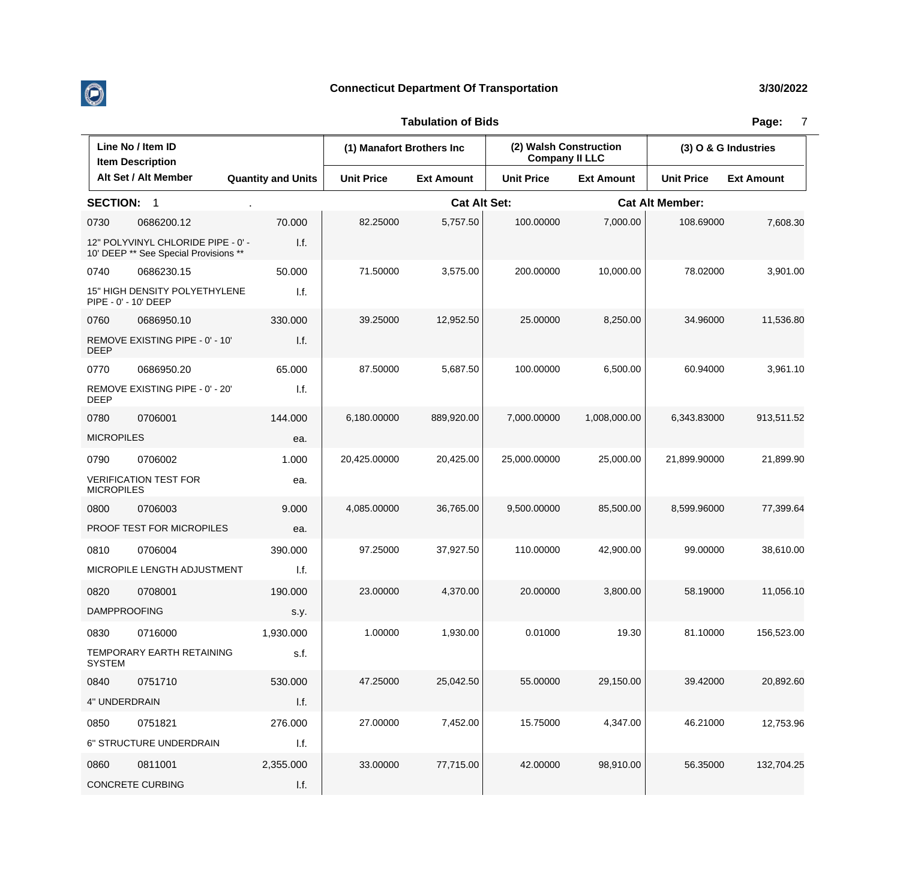

|                   | Line No / Item ID<br><b>Item Description</b>                                |                           | (1) Manafort Brothers Inc |                     | (2) Walsh Construction<br><b>Company II LLC</b> |                        | (3) O & G Industries |                   |
|-------------------|-----------------------------------------------------------------------------|---------------------------|---------------------------|---------------------|-------------------------------------------------|------------------------|----------------------|-------------------|
|                   | Alt Set / Alt Member                                                        | <b>Quantity and Units</b> | <b>Unit Price</b>         | <b>Ext Amount</b>   | <b>Unit Price</b>                               | <b>Ext Amount</b>      | <b>Unit Price</b>    | <b>Ext Amount</b> |
| <b>SECTION:</b>   | $\overline{1}$                                                              |                           |                           | <b>Cat Alt Set:</b> |                                                 | <b>Cat Alt Member:</b> |                      |                   |
| 0730              | 0686200.12                                                                  | 70.000                    | 82.25000                  | 5,757.50            | 100.00000                                       | 7,000.00               | 108.69000            | 7,608.30          |
|                   | 12" POLYVINYL CHLORIDE PIPE - 0' -<br>10' DEEP ** See Special Provisions ** | 1.f.                      |                           |                     |                                                 |                        |                      |                   |
| 0740              | 0686230.15                                                                  | 50.000                    | 71.50000                  | 3,575.00            | 200.00000                                       | 10,000.00              | 78.02000             | 3,901.00          |
|                   | 15" HIGH DENSITY POLYETHYLENE<br>PIPE - 0' - 10' DEEP                       | I.f.                      |                           |                     |                                                 |                        |                      |                   |
| 0760              | 0686950.10                                                                  | 330.000                   | 39.25000                  | 12,952.50           | 25.00000                                        | 8,250.00               | 34.96000             | 11,536.80         |
| <b>DEEP</b>       | REMOVE EXISTING PIPE - 0' - 10'                                             | 1.f.                      |                           |                     |                                                 |                        |                      |                   |
| 0770              | 0686950.20                                                                  | 65.000                    | 87.50000                  | 5,687.50            | 100.00000                                       | 6,500.00               | 60.94000             | 3,961.10          |
| <b>DEEP</b>       | REMOVE EXISTING PIPE - 0' - 20'                                             | I.f.                      |                           |                     |                                                 |                        |                      |                   |
| 0780              | 0706001                                                                     | 144.000                   | 6,180.00000               | 889,920.00          | 7,000.00000                                     | 1,008,000.00           | 6,343.83000          | 913,511.52        |
| <b>MICROPILES</b> |                                                                             | ea.                       |                           |                     |                                                 |                        |                      |                   |
| 0790              | 0706002                                                                     | 1.000                     | 20,425.00000              | 20,425.00           | 25,000.00000                                    | 25,000.00              | 21,899.90000         | 21,899.90         |
| <b>MICROPILES</b> | <b>VERIFICATION TEST FOR</b>                                                | ea.                       |                           |                     |                                                 |                        |                      |                   |
| 0800              | 0706003                                                                     | 9.000                     | 4,085.00000               | 36,765.00           | 9,500.00000                                     | 85,500.00              | 8,599.96000          | 77,399.64         |
|                   | PROOF TEST FOR MICROPILES                                                   | ea.                       |                           |                     |                                                 |                        |                      |                   |
| 0810              | 0706004                                                                     | 390.000                   | 97.25000                  | 37,927.50           | 110.00000                                       | 42,900.00              | 99.00000             | 38,610.00         |
|                   | MICROPILE LENGTH ADJUSTMENT                                                 | 1.f.                      |                           |                     |                                                 |                        |                      |                   |
| 0820              | 0708001                                                                     | 190.000                   | 23.00000                  | 4,370.00            | 20.00000                                        | 3,800.00               | 58.19000             | 11,056.10         |
|                   | <b>DAMPPROOFING</b>                                                         | s.y.                      |                           |                     |                                                 |                        |                      |                   |
| 0830              | 0716000                                                                     | 1,930.000                 | 1.00000                   | 1,930.00            | 0.01000                                         | 19.30                  | 81.10000             | 156,523.00        |
| <b>SYSTEM</b>     | TEMPORARY EARTH RETAINING                                                   | s.f.                      |                           |                     |                                                 |                        |                      |                   |
| 0840              | 0751710                                                                     | 530.000                   | 47.25000                  | 25,042.50           | 55.00000                                        | 29,150.00              | 39.42000             | 20,892.60         |
|                   | 4" UNDERDRAIN                                                               | 1.f.                      |                           |                     |                                                 |                        |                      |                   |
| 0850              | 0751821                                                                     | 276.000                   | 27.00000                  | 7,452.00            | 15.75000                                        | 4,347.00               | 46.21000             | 12,753.96         |
|                   | 6" STRUCTURE UNDERDRAIN                                                     | I.f.                      |                           |                     |                                                 |                        |                      |                   |
| 0860              | 0811001                                                                     | 2,355.000                 | 33.00000                  | 77,715.00           | 42.00000                                        | 98,910.00              | 56.35000             | 132,704.25        |
|                   | <b>CONCRETE CURBING</b>                                                     | I.f.                      |                           |                     |                                                 |                        |                      |                   |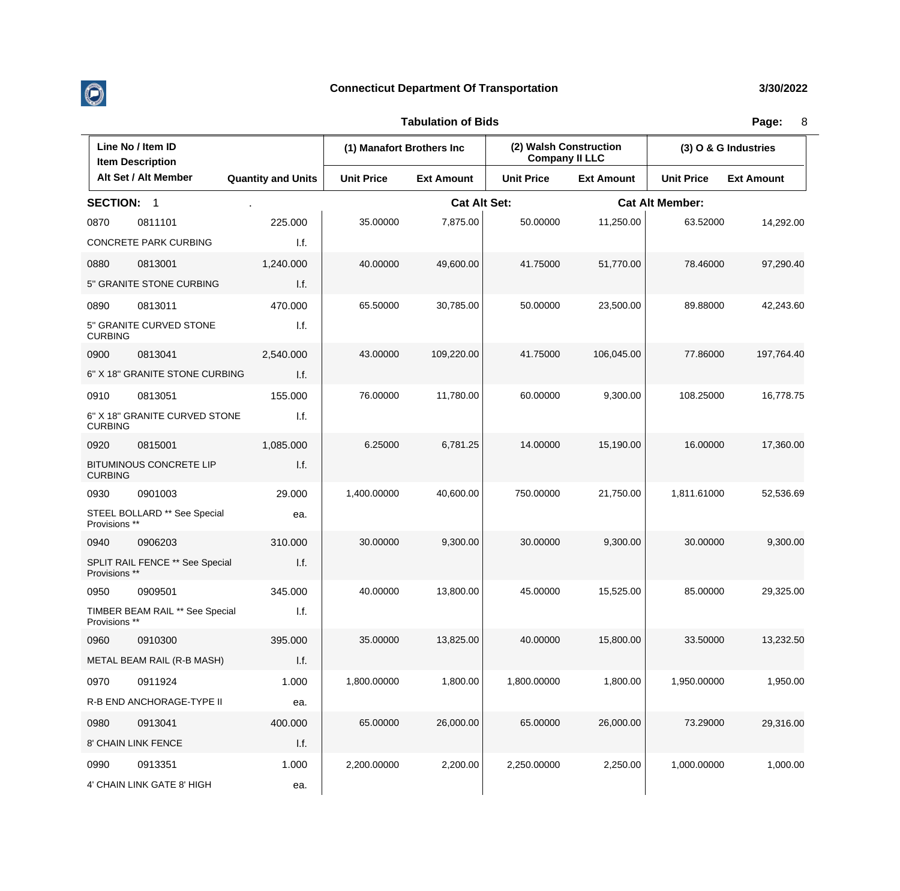

|                 | Line No / Item ID<br><b>Item Description</b> |                           | (1) Manafort Brothers Inc |                     | (2) Walsh Construction<br><b>Company II LLC</b> |                   | (3) O & G Industries   |                   |
|-----------------|----------------------------------------------|---------------------------|---------------------------|---------------------|-------------------------------------------------|-------------------|------------------------|-------------------|
|                 | Alt Set / Alt Member                         | <b>Quantity and Units</b> | <b>Unit Price</b>         | <b>Ext Amount</b>   | <b>Unit Price</b>                               | <b>Ext Amount</b> | <b>Unit Price</b>      | <b>Ext Amount</b> |
| <b>SECTION:</b> | $\overline{1}$                               |                           |                           | <b>Cat Alt Set:</b> |                                                 |                   | <b>Cat Alt Member:</b> |                   |
| 0870            | 0811101                                      | 225.000                   | 35.00000                  | 7,875.00            | 50.00000                                        | 11,250.00         | 63.52000               | 14,292.00         |
|                 | CONCRETE PARK CURBING                        | 1.f.                      |                           |                     |                                                 |                   |                        |                   |
| 0880            | 0813001                                      | 1,240.000                 | 40.00000                  | 49,600.00           | 41.75000                                        | 51,770.00         | 78.46000               | 97,290.40         |
|                 | 5" GRANITE STONE CURBING                     | I.f.                      |                           |                     |                                                 |                   |                        |                   |
| 0890            | 0813011                                      | 470.000                   | 65.50000                  | 30,785.00           | 50.00000                                        | 23,500.00         | 89.88000               | 42,243.60         |
| <b>CURBING</b>  | 5" GRANITE CURVED STONE                      | I.f.                      |                           |                     |                                                 |                   |                        |                   |
| 0900            | 0813041                                      | 2,540.000                 | 43.00000                  | 109,220.00          | 41.75000                                        | 106,045.00        | 77.86000               | 197,764.40        |
|                 | 6" X 18" GRANITE STONE CURBING               | I.f.                      |                           |                     |                                                 |                   |                        |                   |
| 0910            | 0813051                                      | 155.000                   | 76.00000                  | 11,780.00           | 60.00000                                        | 9,300.00          | 108.25000              | 16,778.75         |
| <b>CURBING</b>  | 6" X 18" GRANITE CURVED STONE                | I.f.                      |                           |                     |                                                 |                   |                        |                   |
| 0920            | 0815001                                      | 1,085.000                 | 6.25000                   | 6,781.25            | 14.00000                                        | 15,190.00         | 16.00000               | 17,360.00         |
| <b>CURBING</b>  | <b>BITUMINOUS CONCRETE LIP</b>               | I.f.                      |                           |                     |                                                 |                   |                        |                   |
| 0930            | 0901003                                      | 29.000                    | 1,400.00000               | 40,600.00           | 750.00000                                       | 21,750.00         | 1,811.61000            | 52,536.69         |
| Provisions **   | STEEL BOLLARD ** See Special                 | ea.                       |                           |                     |                                                 |                   |                        |                   |
| 0940            | 0906203                                      | 310.000                   | 30.00000                  | 9,300.00            | 30.00000                                        | 9,300.00          | 30.00000               | 9,300.00          |
| Provisions **   | SPLIT RAIL FENCE ** See Special              | I.f.                      |                           |                     |                                                 |                   |                        |                   |
| 0950            | 0909501                                      | 345.000                   | 40.00000                  | 13,800.00           | 45.00000                                        | 15,525.00         | 85.00000               | 29,325.00         |
| Provisions **   | TIMBER BEAM RAIL ** See Special              | I.f.                      |                           |                     |                                                 |                   |                        |                   |
| 0960            | 0910300                                      | 395.000                   | 35.00000                  | 13,825.00           | 40.00000                                        | 15,800.00         | 33.50000               | 13,232.50         |
|                 | METAL BEAM RAIL (R-B MASH)                   | I.f.                      |                           |                     |                                                 |                   |                        |                   |
| 0970            | 0911924                                      | 1.000                     | 1,800.00000               | 1,800.00            | 1,800.00000                                     | 1,800.00          | 1,950.00000            | 1,950.00          |
|                 | R-B END ANCHORAGE-TYPE II                    | ea.                       |                           |                     |                                                 |                   |                        |                   |
| 0980            | 0913041                                      | 400.000                   | 65.00000                  | 26,000.00           | 65.00000                                        | 26,000.00         | 73.29000               | 29,316.00         |
|                 | 8' CHAIN LINK FENCE                          | 1.f.                      |                           |                     |                                                 |                   |                        |                   |
| 0990            | 0913351                                      | 1.000                     | 2,200.00000               | 2,200.00            | 2,250.00000                                     | 2,250.00          | 1,000.00000            | 1,000.00          |
|                 | 4' CHAIN LINK GATE 8' HIGH                   | ea.                       |                           |                     |                                                 |                   |                        |                   |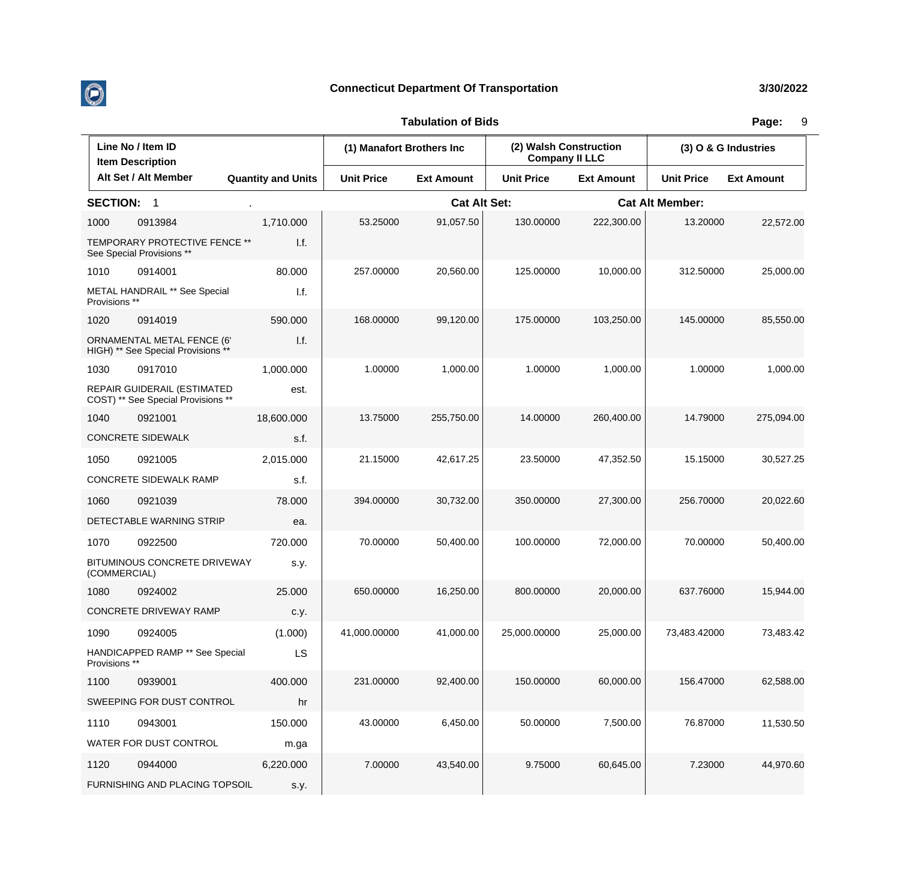

| Line No / Item ID<br><b>Item Description</b> |                                                                   | (1) Manafort Brothers Inc |                   | (2) Walsh Construction<br><b>Company II LLC</b> |                   | (3) O & G Industries |                        |                   |
|----------------------------------------------|-------------------------------------------------------------------|---------------------------|-------------------|-------------------------------------------------|-------------------|----------------------|------------------------|-------------------|
|                                              | Alt Set / Alt Member                                              | <b>Quantity and Units</b> | <b>Unit Price</b> | <b>Ext Amount</b>                               | <b>Unit Price</b> | <b>Ext Amount</b>    | <b>Unit Price</b>      | <b>Ext Amount</b> |
| <b>SECTION:</b>                              | $\overline{\mathbf{1}}$                                           |                           |                   | <b>Cat Alt Set:</b>                             |                   |                      | <b>Cat Alt Member:</b> |                   |
| 1000                                         | 0913984                                                           | 1,710.000                 | 53.25000          | 91,057.50                                       | 130.00000         | 222,300.00           | 13.20000               | 22,572.00         |
|                                              | TEMPORARY PROTECTIVE FENCE **<br>See Special Provisions **        | 1.f.                      |                   |                                                 |                   |                      |                        |                   |
| 1010                                         | 0914001                                                           | 80.000                    | 257.00000         | 20,560.00                                       | 125.00000         | 10,000.00            | 312.50000              | 25,000.00         |
| Provisions **                                | <b>METAL HANDRAIL ** See Special</b>                              | I.f.                      |                   |                                                 |                   |                      |                        |                   |
| 1020                                         | 0914019                                                           | 590.000                   | 168.00000         | 99,120.00                                       | 175,00000         | 103,250.00           | 145.00000              | 85,550.00         |
|                                              | ORNAMENTAL METAL FENCE (6'<br>HIGH) ** See Special Provisions **  | 1.f.                      |                   |                                                 |                   |                      |                        |                   |
| 1030                                         | 0917010                                                           | 1,000.000                 | 1.00000           | 1,000.00                                        | 1.00000           | 1,000.00             | 1.00000                | 1,000.00          |
|                                              | REPAIR GUIDERAIL (ESTIMATED<br>COST) ** See Special Provisions ** | est.                      |                   |                                                 |                   |                      |                        |                   |
| 1040                                         | 0921001                                                           | 18,600.000                | 13.75000          | 255,750.00                                      | 14.00000          | 260,400.00           | 14.79000               | 275,094.00        |
|                                              | <b>CONCRETE SIDEWALK</b>                                          | s.f.                      |                   |                                                 |                   |                      |                        |                   |
| 1050                                         | 0921005                                                           | 2,015.000                 | 21.15000          | 42,617.25                                       | 23.50000          | 47,352.50            | 15.15000               | 30,527.25         |
|                                              | CONCRETE SIDEWALK RAMP                                            | s.f.                      |                   |                                                 |                   |                      |                        |                   |
| 1060                                         | 0921039                                                           | 78.000                    | 394.00000         | 30,732.00                                       | 350.00000         | 27,300.00            | 256.70000              | 20,022.60         |
|                                              | DETECTABLE WARNING STRIP                                          | ea.                       |                   |                                                 |                   |                      |                        |                   |
| 1070                                         | 0922500                                                           | 720.000                   | 70.00000          | 50,400.00                                       | 100.00000         | 72,000.00            | 70.00000               | 50,400.00         |
| (COMMERCIAL)                                 | BITUMINOUS CONCRETE DRIVEWAY                                      | s.y.                      |                   |                                                 |                   |                      |                        |                   |
| 1080                                         | 0924002                                                           | 25.000                    | 650.00000         | 16,250.00                                       | 800.00000         | 20,000.00            | 637.76000              | 15,944.00         |
|                                              | CONCRETE DRIVEWAY RAMP                                            | c.y.                      |                   |                                                 |                   |                      |                        |                   |
| 1090                                         | 0924005                                                           | (1.000)                   | 41,000.00000      | 41,000.00                                       | 25,000.00000      | 25,000.00            | 73,483.42000           | 73,483.42         |
| Provisions **                                | HANDICAPPED RAMP ** See Special                                   | LS                        |                   |                                                 |                   |                      |                        |                   |
| 1100                                         | 0939001                                                           | 400.000                   | 231.00000         | 92,400.00                                       | 150.00000         | 60,000.00            | 156.47000              | 62,588.00         |
|                                              | SWEEPING FOR DUST CONTROL                                         | hr                        |                   |                                                 |                   |                      |                        |                   |
| 1110                                         | 0943001                                                           | 150.000                   | 43.00000          | 6,450.00                                        | 50.00000          | 7,500.00             | 76.87000               | 11,530.50         |
|                                              | WATER FOR DUST CONTROL                                            | m.ga                      |                   |                                                 |                   |                      |                        |                   |
| 1120                                         | 0944000                                                           | 6,220.000                 | 7.00000           | 43,540.00                                       | 9.75000           | 60,645.00            | 7.23000                | 44,970.60         |
|                                              | FURNISHING AND PLACING TOPSOIL                                    | s.y.                      |                   |                                                 |                   |                      |                        |                   |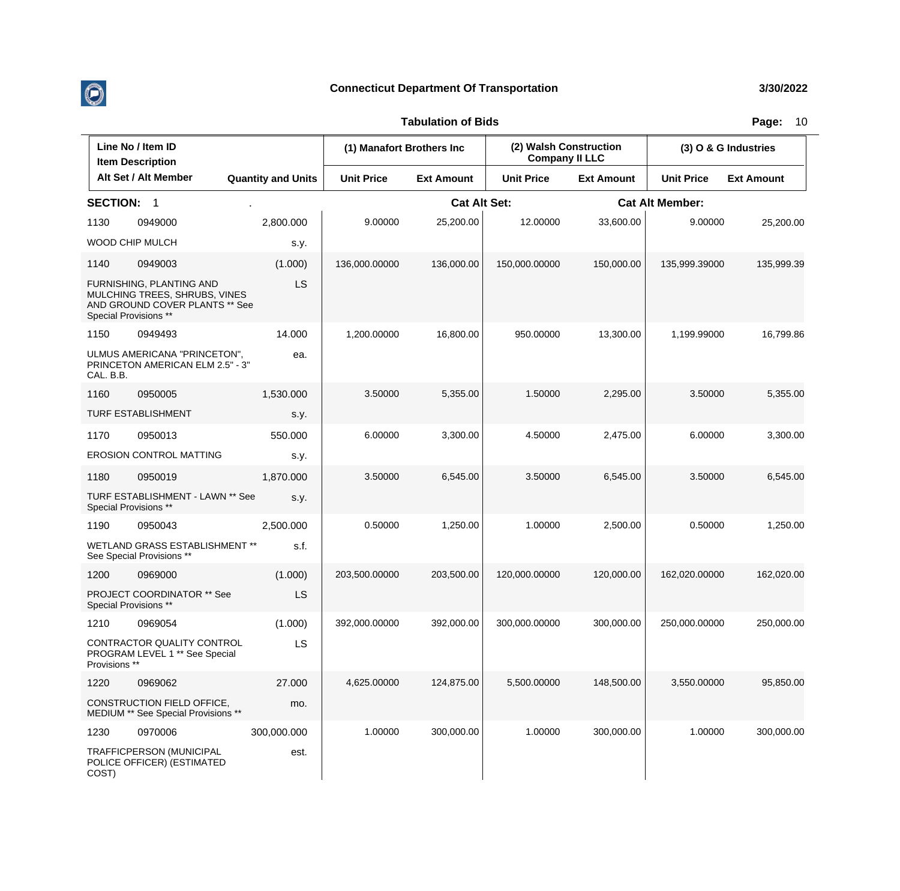

 $\overline{\phantom{a}}$ 

## **Connecticut Department Of Transportation 3/30/2022**

## **Tabulation of Bids Page:** 10

 $\overline{\mathbf{r}}$ 

| Line No / Item ID<br><b>Item Description</b> |                                                                                                                      | (1) Manafort Brothers Inc |                   | (2) Walsh Construction<br><b>Company II LLC</b> |                   | (3) O & G Industries   |                   |                   |
|----------------------------------------------|----------------------------------------------------------------------------------------------------------------------|---------------------------|-------------------|-------------------------------------------------|-------------------|------------------------|-------------------|-------------------|
|                                              | Alt Set / Alt Member                                                                                                 | <b>Quantity and Units</b> | <b>Unit Price</b> | <b>Ext Amount</b>                               | <b>Unit Price</b> | <b>Ext Amount</b>      | <b>Unit Price</b> | <b>Ext Amount</b> |
| <b>SECTION:</b>                              | $\overline{\mathbf{1}}$                                                                                              |                           |                   | <b>Cat Alt Set:</b>                             |                   | <b>Cat Alt Member:</b> |                   |                   |
| 1130                                         | 0949000                                                                                                              | 2,800.000                 | 9.00000           | 25,200.00                                       | 12.00000          | 33,600.00              | 9.00000           | 25,200.00         |
|                                              | WOOD CHIP MULCH                                                                                                      | s.y.                      |                   |                                                 |                   |                        |                   |                   |
| 1140                                         | 0949003                                                                                                              | (1.000)                   | 136,000.00000     | 136,000.00                                      | 150,000.00000     | 150,000.00             | 135,999.39000     | 135,999.39        |
|                                              | FURNISHING, PLANTING AND<br>MULCHING TREES, SHRUBS, VINES<br>AND GROUND COVER PLANTS ** See<br>Special Provisions ** | LS                        |                   |                                                 |                   |                        |                   |                   |
| 1150                                         | 0949493                                                                                                              | 14.000                    | 1,200.00000       | 16,800.00                                       | 950.00000         | 13,300.00              | 1,199.99000       | 16,799.86         |
| CAL. B.B.                                    | ULMUS AMERICANA "PRINCETON",<br>PRINCETON AMERICAN ELM 2.5" - 3"                                                     | ea.                       |                   |                                                 |                   |                        |                   |                   |
| 1160                                         | 0950005                                                                                                              | 1,530.000                 | 3.50000           | 5,355.00                                        | 1.50000           | 2,295.00               | 3.50000           | 5,355.00          |
|                                              | TURF ESTABLISHMENT                                                                                                   | s.y.                      |                   |                                                 |                   |                        |                   |                   |
| 1170                                         | 0950013                                                                                                              | 550.000                   | 6.00000           | 3,300.00                                        | 4.50000           | 2,475.00               | 6.00000           | 3,300.00          |
|                                              | <b>EROSION CONTROL MATTING</b>                                                                                       | s.y.                      |                   |                                                 |                   |                        |                   |                   |
| 1180                                         | 0950019                                                                                                              | 1,870.000                 | 3.50000           | 6,545.00                                        | 3.50000           | 6,545.00               | 3.50000           | 6,545.00          |
|                                              | TURF ESTABLISHMENT - LAWN ** See<br>Special Provisions **                                                            | s.y.                      |                   |                                                 |                   |                        |                   |                   |
| 1190                                         | 0950043                                                                                                              | 2,500.000                 | 0.50000           | 1,250.00                                        | 1.00000           | 2,500.00               | 0.50000           | 1,250.00          |
|                                              | WETLAND GRASS ESTABLISHMENT **<br>See Special Provisions **                                                          | s.f.                      |                   |                                                 |                   |                        |                   |                   |
| 1200                                         | 0969000                                                                                                              | (1.000)                   | 203,500.00000     | 203,500.00                                      | 120,000.00000     | 120,000.00             | 162,020.00000     | 162,020.00        |
|                                              | <b>PROJECT COORDINATOR ** See</b><br>Special Provisions **                                                           | LS                        |                   |                                                 |                   |                        |                   |                   |
| 1210                                         | 0969054                                                                                                              | (1.000)                   | 392,000.00000     | 392,000.00                                      | 300,000.00000     | 300,000.00             | 250,000.00000     | 250,000.00        |
| Provisions **                                | CONTRACTOR QUALITY CONTROL<br>PROGRAM LEVEL 1 ** See Special                                                         | LS.                       |                   |                                                 |                   |                        |                   |                   |
| 1220                                         | 0969062                                                                                                              | 27.000                    | 4,625.00000       | 124,875.00                                      | 5,500.00000       | 148,500.00             | 3,550.00000       | 95,850.00         |
|                                              | CONSTRUCTION FIELD OFFICE,<br>MEDIUM ** See Special Provisions **                                                    | mo.                       |                   |                                                 |                   |                        |                   |                   |
| 1230                                         | 0970006                                                                                                              | 300,000.000               | 1.00000           | 300,000.00                                      | 1.00000           | 300,000.00             | 1.00000           | 300,000.00        |
| COST)                                        | TRAFFICPERSON (MUNICIPAL<br>POLICE OFFICER) (ESTIMATED                                                               | est.                      |                   |                                                 |                   |                        |                   |                   |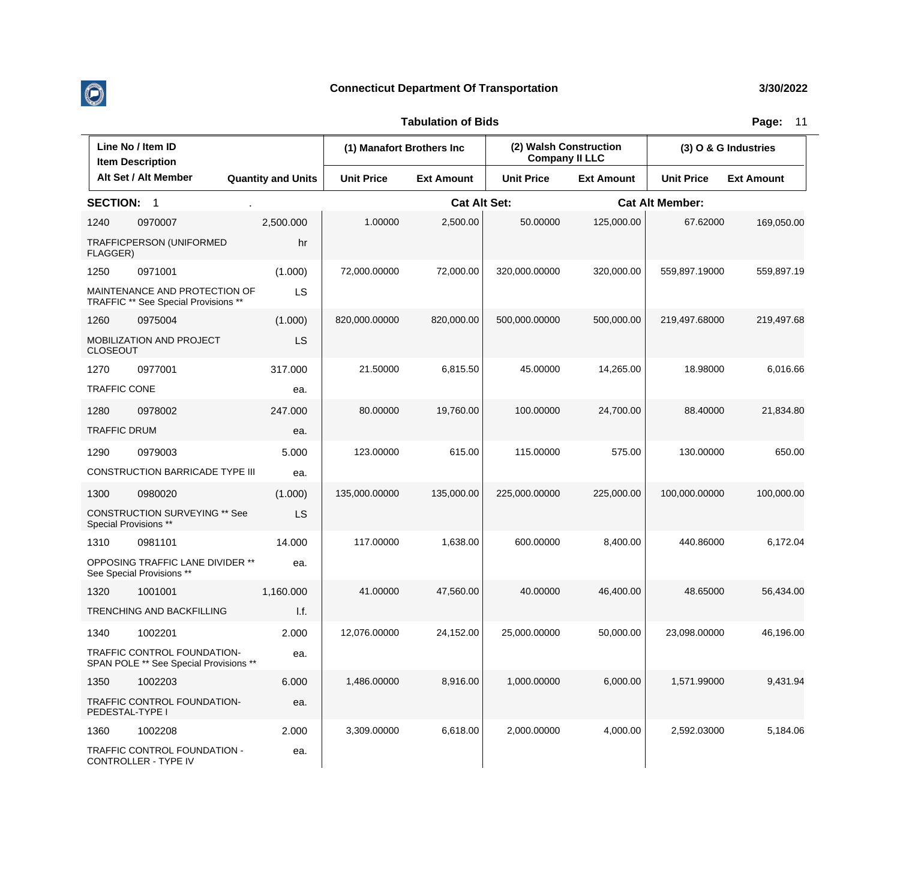

| Line No / Item ID<br><b>Item Description</b> |                                                                       |                           | (1) Manafort Brothers Inc |                     | (2) Walsh Construction<br><b>Company II LLC</b> |                   | (3) O & G Industries   |                   |
|----------------------------------------------|-----------------------------------------------------------------------|---------------------------|---------------------------|---------------------|-------------------------------------------------|-------------------|------------------------|-------------------|
|                                              | Alt Set / Alt Member                                                  | <b>Quantity and Units</b> | <b>Unit Price</b>         | <b>Ext Amount</b>   | <b>Unit Price</b>                               | <b>Ext Amount</b> | <b>Unit Price</b>      | <b>Ext Amount</b> |
| <b>SECTION:</b>                              | -1                                                                    |                           |                           | <b>Cat Alt Set:</b> |                                                 |                   | <b>Cat Alt Member:</b> |                   |
| 1240                                         | 0970007                                                               | 2,500.000                 | 1.00000                   | 2,500.00            | 50.00000                                        | 125,000.00        | 67.62000               | 169,050.00        |
| FLAGGER)                                     | <b>TRAFFICPERSON (UNIFORMED</b>                                       | hr                        |                           |                     |                                                 |                   |                        |                   |
| 1250                                         | 0971001                                                               | (1.000)                   | 72,000.00000              | 72,000.00           | 320,000.00000                                   | 320,000.00        | 559,897.19000          | 559,897.19        |
|                                              | MAINTENANCE AND PROTECTION OF<br>TRAFFIC ** See Special Provisions ** | LS                        |                           |                     |                                                 |                   |                        |                   |
| 1260                                         | 0975004                                                               | (1.000)                   | 820,000.00000             | 820,000.00          | 500,000.00000                                   | 500,000.00        | 219,497.68000          | 219,497.68        |
| <b>CLOSEOUT</b>                              | MOBILIZATION AND PROJECT                                              | LS                        |                           |                     |                                                 |                   |                        |                   |
| 1270                                         | 0977001                                                               | 317.000                   | 21.50000                  | 6,815.50            | 45.00000                                        | 14,265.00         | 18.98000               | 6,016.66          |
| <b>TRAFFIC CONE</b>                          |                                                                       | ea.                       |                           |                     |                                                 |                   |                        |                   |
| 1280                                         | 0978002                                                               | 247.000                   | 80.00000                  | 19,760.00           | 100.00000                                       | 24,700.00         | 88.40000               | 21,834.80         |
| <b>TRAFFIC DRUM</b>                          |                                                                       | ea.                       |                           |                     |                                                 |                   |                        |                   |
| 1290                                         | 0979003                                                               | 5.000                     | 123.00000                 | 615.00              | 115.00000                                       | 575.00            | 130.00000              | 650.00            |
|                                              | <b>CONSTRUCTION BARRICADE TYPE III</b>                                | ea.                       |                           |                     |                                                 |                   |                        |                   |
| 1300                                         | 0980020                                                               | (1.000)                   | 135,000.00000             | 135,000.00          | 225,000.00000                                   | 225,000.00        | 100,000.00000          | 100,000.00        |
|                                              | <b>CONSTRUCTION SURVEYING ** See</b><br>Special Provisions **         | LS                        |                           |                     |                                                 |                   |                        |                   |
| 1310                                         | 0981101                                                               | 14.000                    | 117.00000                 | 1,638.00            | 600.00000                                       | 8,400.00          | 440.86000              | 6,172.04          |
|                                              | OPPOSING TRAFFIC LANE DIVIDER **<br>See Special Provisions **         | ea.                       |                           |                     |                                                 |                   |                        |                   |
| 1320                                         | 1001001                                                               | 1,160.000                 | 41.00000                  | 47.560.00           | 40.00000                                        | 46,400.00         | 48.65000               | 56,434.00         |
|                                              | <b>TRENCHING AND BACKFILLING</b>                                      | I.f.                      |                           |                     |                                                 |                   |                        |                   |
| 1340                                         | 1002201                                                               | 2.000                     | 12,076.00000              | 24,152.00           | 25,000.00000                                    | 50,000.00         | 23,098.00000           | 46,196.00         |
|                                              | TRAFFIC CONTROL FOUNDATION-<br>SPAN POLE ** See Special Provisions ** | ea.                       |                           |                     |                                                 |                   |                        |                   |
| 1350                                         | 1002203                                                               | 6.000                     | 1,486.00000               | 8,916.00            | 1,000.00000                                     | 6,000.00          | 1,571.99000            | 9,431.94          |
| PEDESTAL-TYPE I                              | TRAFFIC CONTROL FOUNDATION-                                           | ea.                       |                           |                     |                                                 |                   |                        |                   |
| 1360                                         | 1002208                                                               | 2.000                     | 3,309.00000               | 6,618.00            | 2,000.00000                                     | 4,000.00          | 2,592.03000            | 5,184.06          |
|                                              | TRAFFIC CONTROL FOUNDATION -<br>CONTROLLER - TYPE IV                  | ea.                       |                           |                     |                                                 |                   |                        |                   |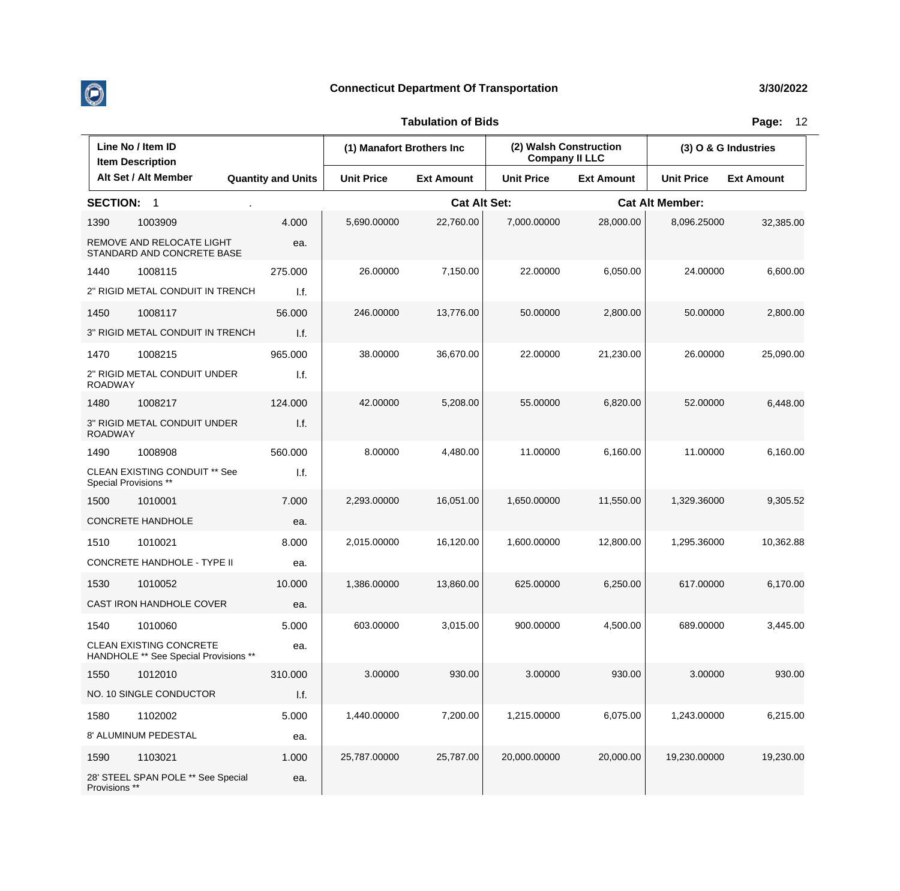

| Line No / Item ID<br><b>Item Description</b> |                                                                  |                           | (1) Manafort Brothers Inc |                     | (2) Walsh Construction<br><b>Company II LLC</b> |                   | (3) O & G Industries   |                   |
|----------------------------------------------|------------------------------------------------------------------|---------------------------|---------------------------|---------------------|-------------------------------------------------|-------------------|------------------------|-------------------|
|                                              | Alt Set / Alt Member                                             | <b>Quantity and Units</b> | <b>Unit Price</b>         | <b>Ext Amount</b>   | <b>Unit Price</b>                               | <b>Ext Amount</b> | <b>Unit Price</b>      | <b>Ext Amount</b> |
| <b>SECTION:</b>                              | -1                                                               |                           |                           | <b>Cat Alt Set:</b> |                                                 |                   | <b>Cat Alt Member:</b> |                   |
| 1390                                         | 1003909                                                          | 4.000                     | 5,690.00000               | 22,760.00           | 7,000.00000                                     | 28,000.00         | 8,096.25000            | 32,385.00         |
|                                              | REMOVE AND RELOCATE LIGHT<br>STANDARD AND CONCRETE BASE          | ea.                       |                           |                     |                                                 |                   |                        |                   |
| 1440                                         | 1008115                                                          | 275.000                   | 26.00000                  | 7,150.00            | 22.00000                                        | 6,050.00          | 24.00000               | 6,600.00          |
|                                              | 2" RIGID METAL CONDUIT IN TRENCH                                 | I.f.                      |                           |                     |                                                 |                   |                        |                   |
| 1450                                         | 1008117                                                          | 56.000                    | 246.00000                 | 13,776.00           | 50.00000                                        | 2,800.00          | 50.00000               | 2,800.00          |
|                                              | 3" RIGID METAL CONDUIT IN TRENCH                                 | I.f.                      |                           |                     |                                                 |                   |                        |                   |
| 1470                                         | 1008215                                                          | 965.000                   | 38.00000                  | 36,670.00           | 22.00000                                        | 21,230.00         | 26.00000               | 25,090.00         |
| <b>ROADWAY</b>                               | 2" RIGID METAL CONDUIT UNDER                                     | I.f.                      |                           |                     |                                                 |                   |                        |                   |
| 1480                                         | 1008217                                                          | 124.000                   | 42.00000                  | 5,208.00            | 55.00000                                        | 6,820.00          | 52.00000               | 6,448.00          |
| <b>ROADWAY</b>                               | 3" RIGID METAL CONDUIT UNDER                                     | I.f.                      |                           |                     |                                                 |                   |                        |                   |
| 1490                                         | 1008908                                                          | 560.000                   | 8.00000                   | 4,480.00            | 11.00000                                        | 6,160.00          | 11.00000               | 6,160.00          |
|                                              | <b>CLEAN EXISTING CONDUIT ** See</b><br>Special Provisions **    | I.f.                      |                           |                     |                                                 |                   |                        |                   |
| 1500                                         | 1010001                                                          | 7.000                     | 2,293.00000               | 16,051.00           | 1,650.00000                                     | 11,550.00         | 1,329.36000            | 9,305.52          |
|                                              | <b>CONCRETE HANDHOLE</b>                                         | ea.                       |                           |                     |                                                 |                   |                        |                   |
| 1510                                         | 1010021                                                          | 8.000                     | 2,015.00000               | 16,120.00           | 1,600.00000                                     | 12,800.00         | 1,295.36000            | 10,362.88         |
|                                              | CONCRETE HANDHOLE - TYPE II                                      | ea.                       |                           |                     |                                                 |                   |                        |                   |
| 1530                                         | 1010052                                                          | 10.000                    | 1,386.00000               | 13,860.00           | 625.00000                                       | 6,250.00          | 617.00000              | 6,170.00          |
|                                              | CAST IRON HANDHOLE COVER                                         | ea.                       |                           |                     |                                                 |                   |                        |                   |
| 1540                                         | 1010060                                                          | 5.000                     | 603.00000                 | 3,015.00            | 900.00000                                       | 4,500.00          | 689.00000              | 3,445.00          |
|                                              | CLEAN EXISTING CONCRETE<br>HANDHOLE ** See Special Provisions ** | ea.                       |                           |                     |                                                 |                   |                        |                   |
| 1550                                         | 1012010                                                          | 310.000                   | 3.00000                   | 930.00              | 3.00000                                         | 930.00            | 3.00000                | 930.00            |
|                                              | NO. 10 SINGLE CONDUCTOR                                          | 1.f.                      |                           |                     |                                                 |                   |                        |                   |
| 1580                                         | 1102002                                                          | 5.000                     | 1,440.00000               | 7,200.00            | 1,215.00000                                     | 6,075.00          | 1,243.00000            | 6,215.00          |
|                                              | 8' ALUMINUM PEDESTAL                                             | ea.                       |                           |                     |                                                 |                   |                        |                   |
| 1590                                         | 1103021                                                          | 1.000                     | 25,787.00000              | 25,787.00           | 20,000.00000                                    | 20,000.00         | 19,230.00000           | 19,230.00         |
| Provisions **                                | 28' STEEL SPAN POLE ** See Special                               | ea.                       |                           |                     |                                                 |                   |                        |                   |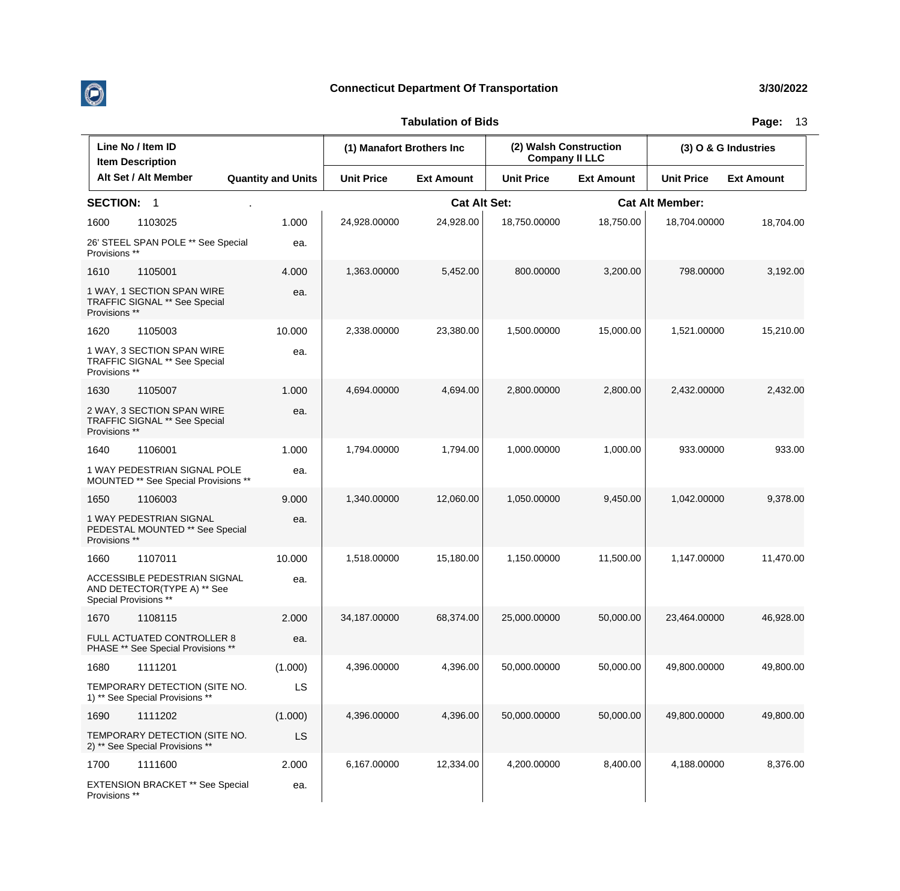

| Line No / Item ID<br><b>Item Description</b> |                                                                                      | (1) Manafort Brothers Inc |                   | (2) Walsh Construction<br><b>Company II LLC</b> |                   | (3) O & G Industries |                        |                   |
|----------------------------------------------|--------------------------------------------------------------------------------------|---------------------------|-------------------|-------------------------------------------------|-------------------|----------------------|------------------------|-------------------|
|                                              | Alt Set / Alt Member                                                                 | <b>Quantity and Units</b> | <b>Unit Price</b> | <b>Ext Amount</b>                               | <b>Unit Price</b> | <b>Ext Amount</b>    | <b>Unit Price</b>      | <b>Ext Amount</b> |
| <b>SECTION: 1</b>                            |                                                                                      |                           |                   | <b>Cat Alt Set:</b>                             |                   |                      | <b>Cat Alt Member:</b> |                   |
| 1600                                         | 1103025                                                                              | 1.000                     | 24,928.00000      | 24,928.00                                       | 18,750.00000      | 18,750.00            | 18,704.00000           | 18,704.00         |
| Provisions **                                | 26' STEEL SPAN POLE ** See Special                                                   | ea.                       |                   |                                                 |                   |                      |                        |                   |
| 1610                                         | 1105001                                                                              | 4.000                     | 1,363.00000       | 5,452.00                                        | 800.00000         | 3,200.00             | 798.00000              | 3,192.00          |
| Provisions **                                | 1 WAY, 1 SECTION SPAN WIRE<br>TRAFFIC SIGNAL ** See Special                          | ea.                       |                   |                                                 |                   |                      |                        |                   |
| 1620                                         | 1105003                                                                              | 10.000                    | 2,338.00000       | 23,380.00                                       | 1,500.00000       | 15,000.00            | 1,521.00000            | 15,210.00         |
| Provisions **                                | 1 WAY, 3 SECTION SPAN WIRE<br><b>TRAFFIC SIGNAL ** See Special</b>                   | ea.                       |                   |                                                 |                   |                      |                        |                   |
| 1630                                         | 1105007                                                                              | 1.000                     | 4,694.00000       | 4,694.00                                        | 2,800.00000       | 2,800.00             | 2,432.00000            | 2,432.00          |
| Provisions **                                | 2 WAY, 3 SECTION SPAN WIRE<br>TRAFFIC SIGNAL ** See Special                          | ea.                       |                   |                                                 |                   |                      |                        |                   |
| 1640                                         | 1106001                                                                              | 1.000                     | 1,794.00000       | 1,794.00                                        | 1,000.00000       | 1,000.00             | 933.00000              | 933.00            |
|                                              | 1 WAY PEDESTRIAN SIGNAL POLE<br>MOUNTED ** See Special Provisions **                 | ea.                       |                   |                                                 |                   |                      |                        |                   |
| 1650                                         | 1106003                                                                              | 9.000                     | 1,340.00000       | 12,060.00                                       | 1,050.00000       | 9,450.00             | 1,042.00000            | 9,378.00          |
| Provisions **                                | 1 WAY PEDESTRIAN SIGNAL<br>PEDESTAL MOUNTED ** See Special                           | ea.                       |                   |                                                 |                   |                      |                        |                   |
| 1660                                         | 1107011                                                                              | 10.000                    | 1,518.00000       | 15,180.00                                       | 1,150.00000       | 11,500.00            | 1,147.00000            | 11,470.00         |
|                                              | ACCESSIBLE PEDESTRIAN SIGNAL<br>AND DETECTOR(TYPE A) ** See<br>Special Provisions ** | ea.                       |                   |                                                 |                   |                      |                        |                   |
| 1670                                         | 1108115                                                                              | 2.000                     | 34,187.00000      | 68,374.00                                       | 25,000.00000      | 50,000,00            | 23.464.00000           | 46,928.00         |
|                                              | FULL ACTUATED CONTROLLER 8<br>PHASE ** See Special Provisions **                     | ea.                       |                   |                                                 |                   |                      |                        |                   |
| 1680                                         | 1111201                                                                              | (1.000)                   | 4,396.00000       | 4,396.00                                        | 50,000.00000      | 50,000.00            | 49,800.00000           | 49,800.00         |
|                                              | TEMPORARY DETECTION (SITE NO.<br>1) ** See Special Provisions **                     | LS                        |                   |                                                 |                   |                      |                        |                   |
| 1690                                         | 1111202                                                                              | (1.000)                   | 4,396.00000       | 4,396.00                                        | 50,000.00000      | 50,000.00            | 49,800.00000           | 49,800.00         |
|                                              | TEMPORARY DETECTION (SITE NO.<br>2) ** See Special Provisions **                     | LS                        |                   |                                                 |                   |                      |                        |                   |
| 1700                                         | 1111600                                                                              | 2.000                     | 6,167.00000       | 12,334.00                                       | 4,200.00000       | 8,400.00             | 4,188.00000            | 8,376.00          |
| Provisions **                                | <b>EXTENSION BRACKET ** See Special</b>                                              | ea.                       |                   |                                                 |                   |                      |                        |                   |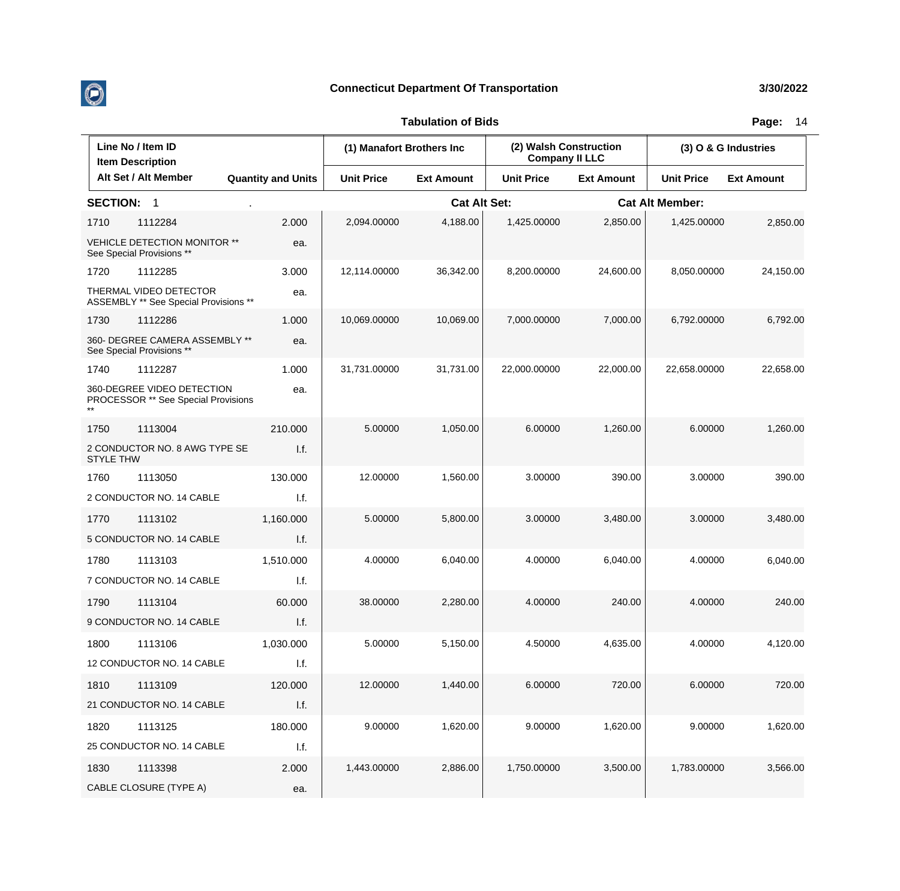

| Line No / Item ID<br><b>Item Description</b> |                                                                   |                           | (1) Manafort Brothers Inc |                     | (2) Walsh Construction<br><b>Company II LLC</b> |                   | (3) O & G Industries   |                   |
|----------------------------------------------|-------------------------------------------------------------------|---------------------------|---------------------------|---------------------|-------------------------------------------------|-------------------|------------------------|-------------------|
|                                              | Alt Set / Alt Member                                              | <b>Quantity and Units</b> | <b>Unit Price</b>         | <b>Ext Amount</b>   | <b>Unit Price</b>                               | <b>Ext Amount</b> | <b>Unit Price</b>      | <b>Ext Amount</b> |
| <b>SECTION:</b>                              | $\overline{1}$                                                    |                           |                           | <b>Cat Alt Set:</b> |                                                 |                   | <b>Cat Alt Member:</b> |                   |
| 1710                                         | 1112284                                                           | 2.000                     | 2,094.00000               | 4,188.00            | 1,425.00000                                     | 2,850.00          | 1,425.00000            | 2,850.00          |
|                                              | <b>VEHICLE DETECTION MONITOR **</b><br>See Special Provisions **  | ea.                       |                           |                     |                                                 |                   |                        |                   |
| 1720                                         | 1112285                                                           | 3.000                     | 12,114.00000              | 36,342.00           | 8.200.00000                                     | 24,600.00         | 8,050.00000            | 24,150.00         |
|                                              | THERMAL VIDEO DETECTOR<br>ASSEMBLY ** See Special Provisions **   | ea.                       |                           |                     |                                                 |                   |                        |                   |
| 1730                                         | 1112286                                                           | 1.000                     | 10,069.00000              | 10,069.00           | 7,000.00000                                     | 7,000.00          | 6,792.00000            | 6,792.00          |
|                                              | 360- DEGREE CAMERA ASSEMBLY **<br>See Special Provisions **       | ea.                       |                           |                     |                                                 |                   |                        |                   |
| 1740                                         | 1112287                                                           | 1.000                     | 31,731.00000              | 31,731.00           | 22,000.00000                                    | 22,000.00         | 22,658.00000           | 22,658.00         |
|                                              | 360-DEGREE VIDEO DETECTION<br>PROCESSOR ** See Special Provisions | ea.                       |                           |                     |                                                 |                   |                        |                   |
| 1750                                         | 1113004                                                           | 210.000                   | 5.00000                   | 1,050.00            | 6.00000                                         | 1,260.00          | 6.00000                | 1,260.00          |
| <b>STYLE THW</b>                             | 2 CONDUCTOR NO. 8 AWG TYPE SE                                     | 1.f.                      |                           |                     |                                                 |                   |                        |                   |
| 1760                                         | 1113050                                                           | 130,000                   | 12.00000                  | 1,560.00            | 3.00000                                         | 390.00            | 3.00000                | 390.00            |
|                                              | 2 CONDUCTOR NO. 14 CABLE                                          | 1.f.                      |                           |                     |                                                 |                   |                        |                   |
| 1770                                         | 1113102                                                           | 1,160.000                 | 5.00000                   | 5,800.00            | 3.00000                                         | 3,480.00          | 3.00000                | 3,480.00          |
|                                              | 5 CONDUCTOR NO. 14 CABLE                                          | 1.f.                      |                           |                     |                                                 |                   |                        |                   |
| 1780                                         | 1113103                                                           | 1,510.000                 | 4.00000                   | 6,040.00            | 4.00000                                         | 6,040.00          | 4.00000                | 6,040.00          |
|                                              | 7 CONDUCTOR NO. 14 CABLE                                          | I.f.                      |                           |                     |                                                 |                   |                        |                   |
| 1790                                         | 1113104                                                           | 60.000                    | 38.00000                  | 2,280.00            | 4.00000                                         | 240.00            | 4.00000                | 240.00            |
|                                              | 9 CONDUCTOR NO. 14 CABLE                                          | 1.f.                      |                           |                     |                                                 |                   |                        |                   |
| 1800                                         | 1113106                                                           | 1,030.000                 | 5.00000                   | 5,150.00            | 4.50000                                         | 4,635.00          | 4.00000                | 4,120.00          |
|                                              | 12 CONDUCTOR NO. 14 CABLE                                         | I.f.                      |                           |                     |                                                 |                   |                        |                   |
| 1810                                         | 1113109                                                           | 120.000                   | 12.00000                  | 1,440.00            | 6.00000                                         | 720.00            | 6.00000                | 720.00            |
|                                              | 21 CONDUCTOR NO. 14 CABLE                                         | I.f.                      |                           |                     |                                                 |                   |                        |                   |
| 1820                                         | 1113125                                                           | 180.000                   | 9.00000                   | 1,620.00            | 9.00000                                         | 1,620.00          | 9.00000                | 1,620.00          |
|                                              | 25 CONDUCTOR NO. 14 CABLE                                         | 1.f.                      |                           |                     |                                                 |                   |                        |                   |
| 1830                                         | 1113398                                                           | 2.000                     | 1,443.00000               | 2,886.00            | 1,750.00000                                     | 3,500.00          | 1,783.00000            | 3,566.00          |
|                                              | CABLE CLOSURE (TYPE A)                                            | ea.                       |                           |                     |                                                 |                   |                        |                   |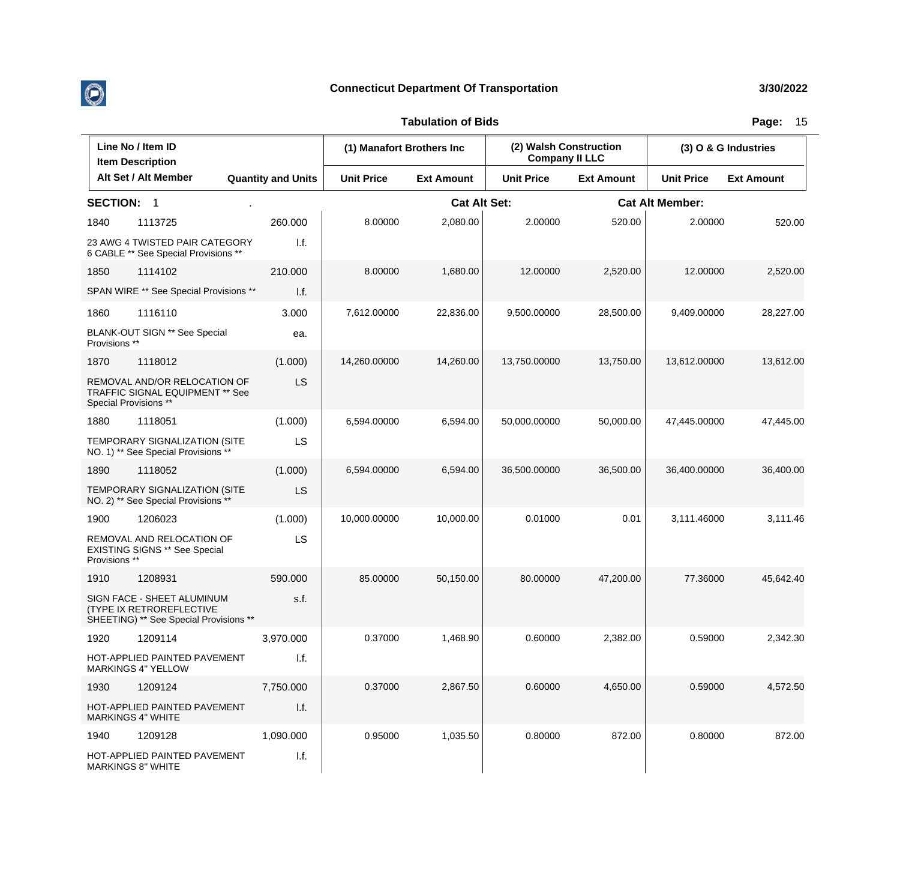

| Line No / Item ID<br><b>Item Description</b> |                                                                                                          | (1) Manafort Brothers Inc |                   | (2) Walsh Construction<br><b>Company II LLC</b> |                   | (3) O & G Industries |                        |                   |
|----------------------------------------------|----------------------------------------------------------------------------------------------------------|---------------------------|-------------------|-------------------------------------------------|-------------------|----------------------|------------------------|-------------------|
|                                              | Alt Set / Alt Member                                                                                     | <b>Quantity and Units</b> | <b>Unit Price</b> | <b>Ext Amount</b>                               | <b>Unit Price</b> | <b>Ext Amount</b>    | <b>Unit Price</b>      | <b>Ext Amount</b> |
| <b>SECTION:</b>                              | $\overline{1}$                                                                                           |                           |                   | <b>Cat Alt Set:</b>                             |                   |                      | <b>Cat Alt Member:</b> |                   |
| 1840                                         | 1113725                                                                                                  | 260.000                   | 8.00000           | 2.080.00                                        | 2.00000           | 520.00               | 2.00000                | 520.00            |
|                                              | 23 AWG 4 TWISTED PAIR CATEGORY<br>6 CABLE ** See Special Provisions **                                   | 1.f.                      |                   |                                                 |                   |                      |                        |                   |
| 1850                                         | 1114102                                                                                                  | 210.000                   | 8.00000           | 1,680.00                                        | 12.00000          | 2,520.00             | 12.00000               | 2,520.00          |
|                                              | SPAN WIRE ** See Special Provisions **                                                                   | 1.f.                      |                   |                                                 |                   |                      |                        |                   |
| 1860                                         | 1116110                                                                                                  | 3.000                     | 7,612.00000       | 22,836.00                                       | 9,500.00000       | 28,500.00            | 9,409.00000            | 28,227.00         |
| Provisions **                                | BLANK-OUT SIGN ** See Special                                                                            | ea.                       |                   |                                                 |                   |                      |                        |                   |
| 1870                                         | 1118012                                                                                                  | (1.000)                   | 14,260.00000      | 14,260.00                                       | 13,750.00000      | 13,750.00            | 13,612.00000           | 13,612.00         |
| Special Provisions **                        | REMOVAL AND/OR RELOCATION OF<br><b>TRAFFIC SIGNAL EQUIPMENT ** See</b>                                   | LS                        |                   |                                                 |                   |                      |                        |                   |
| 1880                                         | 1118051                                                                                                  | (1.000)                   | 6,594.00000       | 6,594.00                                        | 50,000.00000      | 50,000.00            | 47,445.00000           | 47,445.00         |
|                                              | <b>TEMPORARY SIGNALIZATION (SITE</b><br>NO. 1) ** See Special Provisions **                              | LS                        |                   |                                                 |                   |                      |                        |                   |
| 1890                                         | 1118052                                                                                                  | (1.000)                   | 6,594.00000       | 6,594.00                                        | 36,500.00000      | 36,500.00            | 36,400.00000           | 36,400.00         |
|                                              | TEMPORARY SIGNALIZATION (SITE<br>NO. 2) ** See Special Provisions **                                     | <b>LS</b>                 |                   |                                                 |                   |                      |                        |                   |
| 1900                                         | 1206023                                                                                                  | (1.000)                   | 10,000.00000      | 10,000.00                                       | 0.01000           | 0.01                 | 3,111.46000            | 3,111.46          |
| Provisions **                                | REMOVAL AND RELOCATION OF<br><b>EXISTING SIGNS ** See Special</b>                                        | LS                        |                   |                                                 |                   |                      |                        |                   |
| 1910                                         | 1208931                                                                                                  | 590.000                   | 85.00000          | 50,150.00                                       | 80.00000          | 47,200.00            | 77.36000               | 45,642.40         |
|                                              | SIGN FACE - SHEET ALUMINUM<br><b>(TYPE IX RETROREFLECTIVE)</b><br>SHEETING) ** See Special Provisions ** | s.f.                      |                   |                                                 |                   |                      |                        |                   |
| 1920                                         | 1209114                                                                                                  | 3,970.000                 | 0.37000           | 1,468.90                                        | 0.60000           | 2,382.00             | 0.59000                | 2,342.30          |
|                                              | HOT-APPLIED PAINTED PAVEMENT<br><b>MARKINGS 4" YELLOW</b>                                                | 1.f.                      |                   |                                                 |                   |                      |                        |                   |
| 1930                                         | 1209124                                                                                                  | 7,750.000                 | 0.37000           | 2,867.50                                        | 0.60000           | 4,650.00             | 0.59000                | 4,572.50          |
|                                              | HOT-APPLIED PAINTED PAVEMENT<br><b>MARKINGS 4" WHITE</b>                                                 | I.f.                      |                   |                                                 |                   |                      |                        |                   |
| 1940                                         | 1209128                                                                                                  | 1,090.000                 | 0.95000           | 1,035.50                                        | 0.80000           | 872.00               | 0.80000                | 872.00            |
|                                              | HOT-APPLIED PAINTED PAVEMENT<br><b>MARKINGS 8" WHITE</b>                                                 | 1.f.                      |                   |                                                 |                   |                      |                        |                   |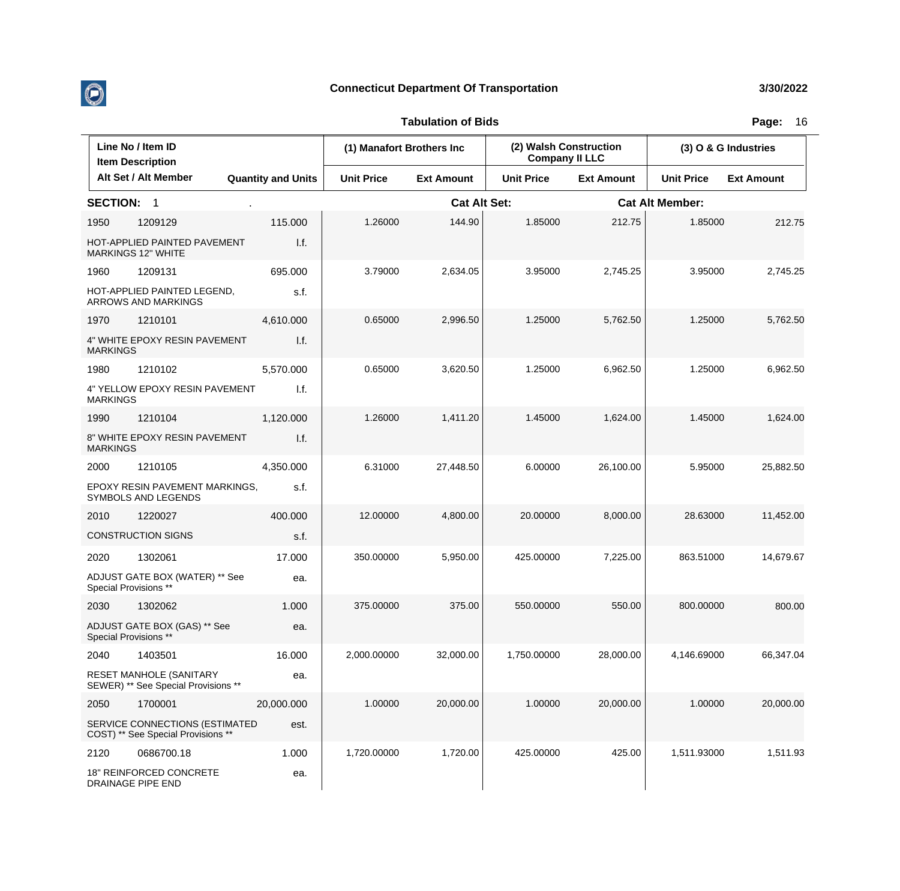

| Line No / Item ID<br><b>Item Description</b> |                                                                      | (1) Manafort Brothers Inc |                   | (2) Walsh Construction<br><b>Company II LLC</b> |                   | (3) O & G Industries   |                   |                   |
|----------------------------------------------|----------------------------------------------------------------------|---------------------------|-------------------|-------------------------------------------------|-------------------|------------------------|-------------------|-------------------|
|                                              | Alt Set / Alt Member                                                 | <b>Quantity and Units</b> | <b>Unit Price</b> | <b>Ext Amount</b>                               | <b>Unit Price</b> | <b>Ext Amount</b>      | <b>Unit Price</b> | <b>Ext Amount</b> |
| <b>SECTION:</b>                              | $\overline{1}$                                                       |                           |                   | <b>Cat Alt Set:</b>                             |                   | <b>Cat Alt Member:</b> |                   |                   |
| 1950                                         | 1209129                                                              | 115.000                   | 1.26000           | 144.90                                          | 1.85000           | 212.75                 | 1.85000           | 212.75            |
|                                              | HOT-APPLIED PAINTED PAVEMENT<br><b>MARKINGS 12" WHITE</b>            | 1.f.                      |                   |                                                 |                   |                        |                   |                   |
| 1960                                         | 1209131                                                              | 695.000                   | 3.79000           | 2,634.05                                        | 3.95000           | 2,745.25               | 3.95000           | 2,745.25          |
|                                              | HOT-APPLIED PAINTED LEGEND,<br>ARROWS AND MARKINGS                   | s.f.                      |                   |                                                 |                   |                        |                   |                   |
| 1970                                         | 1210101                                                              | 4,610.000                 | 0.65000           | 2,996.50                                        | 1.25000           | 5,762.50               | 1.25000           | 5,762.50          |
| <b>MARKINGS</b>                              | 4" WHITE EPOXY RESIN PAVEMENT                                        | 1.f.                      |                   |                                                 |                   |                        |                   |                   |
| 1980                                         | 1210102                                                              | 5,570.000                 | 0.65000           | 3,620.50                                        | 1.25000           | 6,962.50               | 1.25000           | 6,962.50          |
| <b>MARKINGS</b>                              | 4" YELLOW EPOXY RESIN PAVEMENT                                       | 1.f.                      |                   |                                                 |                   |                        |                   |                   |
| 1990                                         | 1210104                                                              | 1,120.000                 | 1.26000           | 1,411.20                                        | 1.45000           | 1,624.00               | 1.45000           | 1,624.00          |
| <b>MARKINGS</b>                              | 8" WHITE EPOXY RESIN PAVEMENT                                        | I.f.                      |                   |                                                 |                   |                        |                   |                   |
| 2000                                         | 1210105                                                              | 4,350.000                 | 6.31000           | 27,448.50                                       | 6.00000           | 26,100.00              | 5.95000           | 25,882.50         |
|                                              | EPOXY RESIN PAVEMENT MARKINGS,<br>SYMBOLS AND LEGENDS                | s.f.                      |                   |                                                 |                   |                        |                   |                   |
| 2010                                         | 1220027                                                              | 400.000                   | 12.00000          | 4,800.00                                        | 20.00000          | 8,000.00               | 28.63000          | 11,452.00         |
|                                              | <b>CONSTRUCTION SIGNS</b>                                            | s.f.                      |                   |                                                 |                   |                        |                   |                   |
| 2020                                         | 1302061                                                              | 17.000                    | 350.00000         | 5,950.00                                        | 425.00000         | 7,225.00               | 863.51000         | 14,679.67         |
|                                              | ADJUST GATE BOX (WATER) ** See<br>Special Provisions **              | ea.                       |                   |                                                 |                   |                        |                   |                   |
| 2030                                         | 1302062                                                              | 1.000                     | 375.00000         | 375.00                                          | 550.00000         | 550.00                 | 800.00000         | 800.00            |
|                                              | ADJUST GATE BOX (GAS) ** See<br>Special Provisions **                | ea.                       |                   |                                                 |                   |                        |                   |                   |
| 2040                                         | 1403501                                                              | 16.000                    | 2,000.00000       | 32,000.00                                       | 1,750.00000       | 28,000.00              | 4,146.69000       | 66,347.04         |
|                                              | RESET MANHOLE (SANITARY<br>SEWER) ** See Special Provisions **       | ea.                       |                   |                                                 |                   |                        |                   |                   |
| 2050                                         | 1700001                                                              | 20,000.000                | 1.00000           | 20,000.00                                       | 1.00000           | 20,000.00              | 1.00000           | 20,000.00         |
|                                              | SERVICE CONNECTIONS (ESTIMATED<br>COST) ** See Special Provisions ** | est.                      |                   |                                                 |                   |                        |                   |                   |
| 2120                                         | 0686700.18                                                           | 1.000                     | 1,720.00000       | 1,720.00                                        | 425.00000         | 425.00                 | 1,511.93000       | 1,511.93          |
|                                              | 18" REINFORCED CONCRETE<br><b>DRAINAGE PIPE END</b>                  | ea.                       |                   |                                                 |                   |                        |                   |                   |